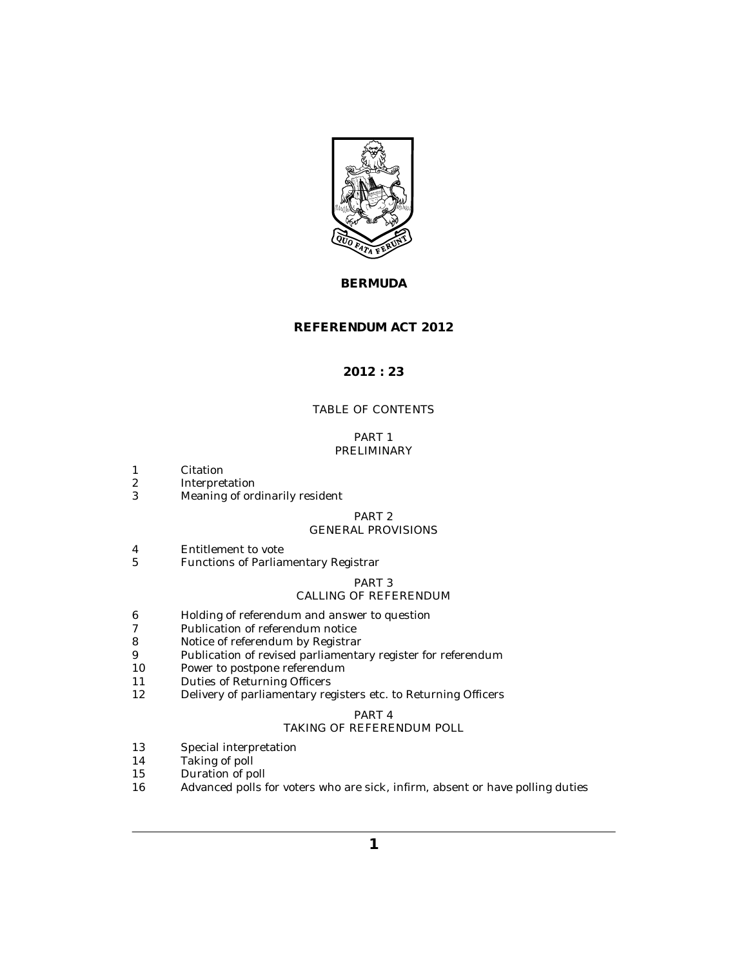

# **BERMUDA**

## **REFERENDUM ACT 2012**

## **2012 : 23**

# TABLE OF CONTENTS

## PART 1 [PRELIMINARY](#page-2-0)

- [Citation](#page-2-0) 1
- [Interpretation](#page-2-0) 2
- [Meaning of ordinarily resident](#page-3-0) 3

### PART 2

## [GENERAL PROVISIONS](#page-4-0)

- [Entitlement to vote](#page-4-0) 4
- [Functions of Parliamentary Registrar](#page-5-0) 5

## PART 3

## [CALLING OF REFERENDUM](#page-5-0)

- [Holding of referendum and answer to question](#page-5-0) 6
- [Publication of referendum notice](#page-6-0) 7
- [Notice of referendum by Registrar](#page-6-0) 8
- [Publication of revised parliamentary register for referendum](#page-6-0) 9
- [Power to postpone referendum](#page-7-0) 10
- [Duties of Returning Officers](#page-7-0) 11
- [Delivery of parliamentary registers etc. to Returning Officers](#page-8-0) 12

# PART 4

## [TAKING OF REFERENDUM POLL](#page-8-0)

- [Special interpretation](#page-8-0) 13
- [Taking of poll](#page-8-0) 14
- [Duration of poll](#page-9-0) 15
- [Advanced polls for voters who are sick, infirm, absent or have polling duties](#page-9-0) 16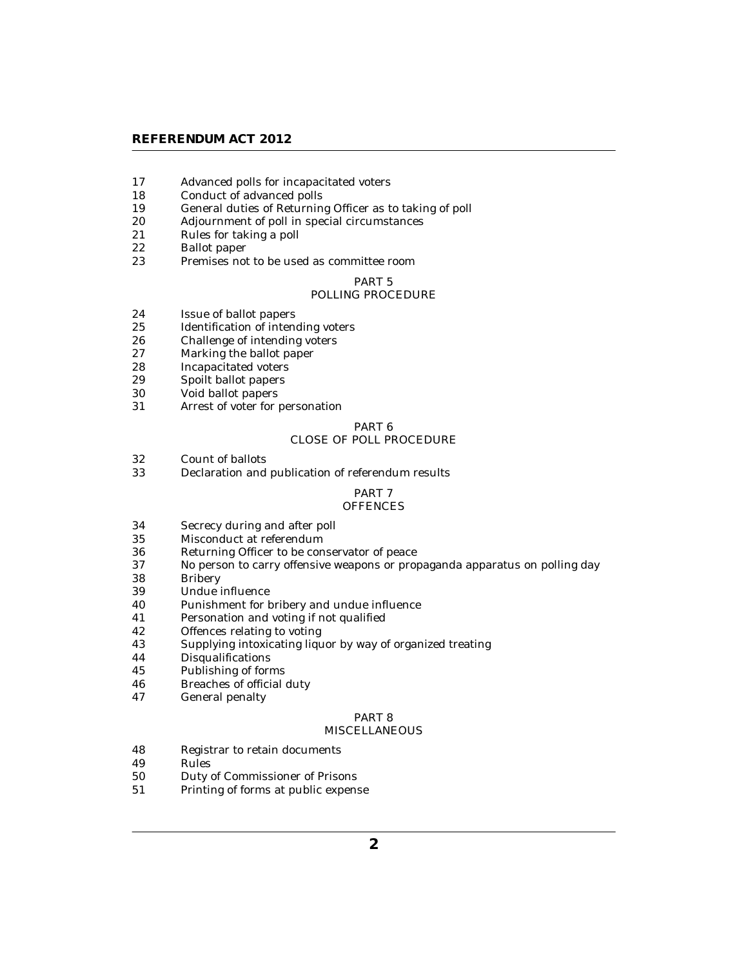### **REFERENDUM ACT 2012**

- [Advanced polls for incapacitated voters](#page-10-0) 17
- [Conduct of advanced polls](#page-10-0) 18
- [General duties of Returning Officer as to taking of poll](#page-11-0) 19
- [Adjournment of poll in special circumstances](#page-11-0) 20
- [Rules for taking a poll](#page-12-0) 21
- [Ballot paper](#page-12-0) 22
- [Premises not to be used as committee room](#page-12-0) 23

# PART 5

## [POLLING PROCEDURE](#page-12-0)

- [Issue of ballot papers](#page-12-0) 24
- [Identification of intending voters](#page-13-0) 25
- [Challenge of intending voters](#page-13-0) 26
- [Marking the ballot paper](#page-14-0) 27
- [Incapacitated voters](#page-14-0) 28
- [Spoilt ballot papers](#page-14-0) 29
- [Void ballot papers](#page-14-0) 30
- [Arrest of voter for personation](#page-15-0) 31

## PART 6 [CLOSE OF POLL PROCEDURE](#page-15-0)

- [Count of ballots](#page-15-0) 32
- [Declaration and publication of referendum results](#page-16-0) 33

### PART 7

#### **[OFFENCES](#page-16-0)**

- [Secrecy during and after poll](#page-16-0) 34
- [Misconduct at referendum](#page-17-0) 35
- [Returning Officer to be conservator of peace](#page-18-0) 36
- [No person to carry offensive weapons or propaganda apparatus on polling day](#page-18-0) 37
- [Bribery](#page-18-0) 38
- [Undue influence](#page-19-0) 39
- [Punishment for bribery and undue influence](#page-20-0) 40
- [Personation and voting if not qualified](#page-20-0) 41
- [Offences relating to voting](#page-20-0) 42
- [Supplying intoxicating liquor by way of organized treating](#page-21-0) 43
- [Disqualifications](#page-22-0) 44
- [Publishing of forms](#page-22-0) 45
- [Breaches of official duty](#page-22-0) 46
- [General penalty](#page-22-0) 47

## PART 8

### **[MISCELLANEOUS](#page-22-0)**

- [Registrar to retain documents](#page-22-0) 48
- [Rules](#page-22-0) 49
- [Duty of Commissioner of Prisons](#page-23-0) 50
- [Printing of forms at public expense](#page-23-0) 51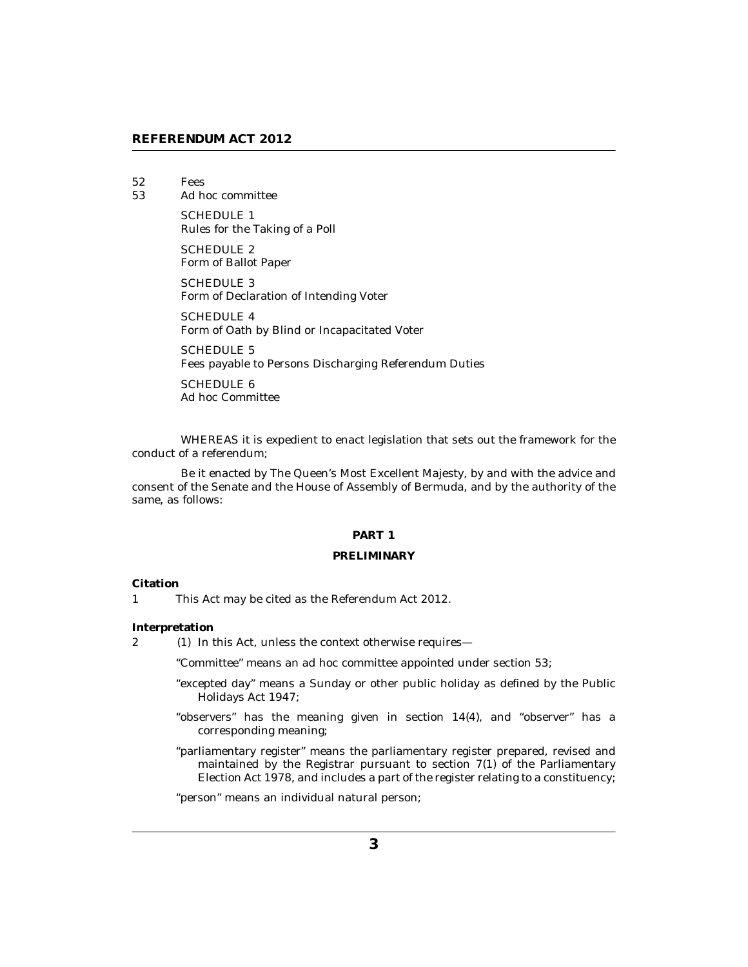- <span id="page-2-0"></span>[Fees](#page-23-0) 52
- [Ad hoc committee](#page-23-0) 53

SCHEDULE 1 [Rules for the Taking of a Poll](#page-24-0)

SCHEDULE 2 [Form of Ballot Paper](#page-27-0)

SCHEDULE 3 [Form of Declaration of Intending Voter](#page-28-0)

SCHEDULE 4 [Form of Oath by Blind or Incapacitated Voter](#page-30-0)

SCHEDULE 5 [Fees payable to Persons Discharging Referendum Duties](#page-31-0)

SCHEDULE 6 [Ad hoc Committee](#page-32-0)

WHEREAS it is expedient to enact legislation that sets out the framework for the conduct of a referendum;

Be it enacted by The Queen's Most Excellent Majesty, by and with the advice and consent of the Senate and the House of Assembly of Bermuda, and by the authority of the same, as follows:

### **PART 1**

#### **PRELIMINARY**

### **Citation**

This Act may be cited as the Referendum Act 2012. 1

**Interpretation**

2 (1) In this Act, unless the context otherwise requires—

"Committee" means an ad hoc committee appointed under section 53;

- "excepted day" means a Sunday or other public holiday as defined by the Public Holidays Act 1947;
- "observers" has the meaning given in section 14(4), and "observer" has a corresponding meaning;
- "parliamentary register" means the parliamentary register prepared, revised and maintained by the Registrar pursuant to section 7(1) of the Parliamentary Election Act 1978, and includes a part of the register relating to a constituency;

"person" means an individual natural person;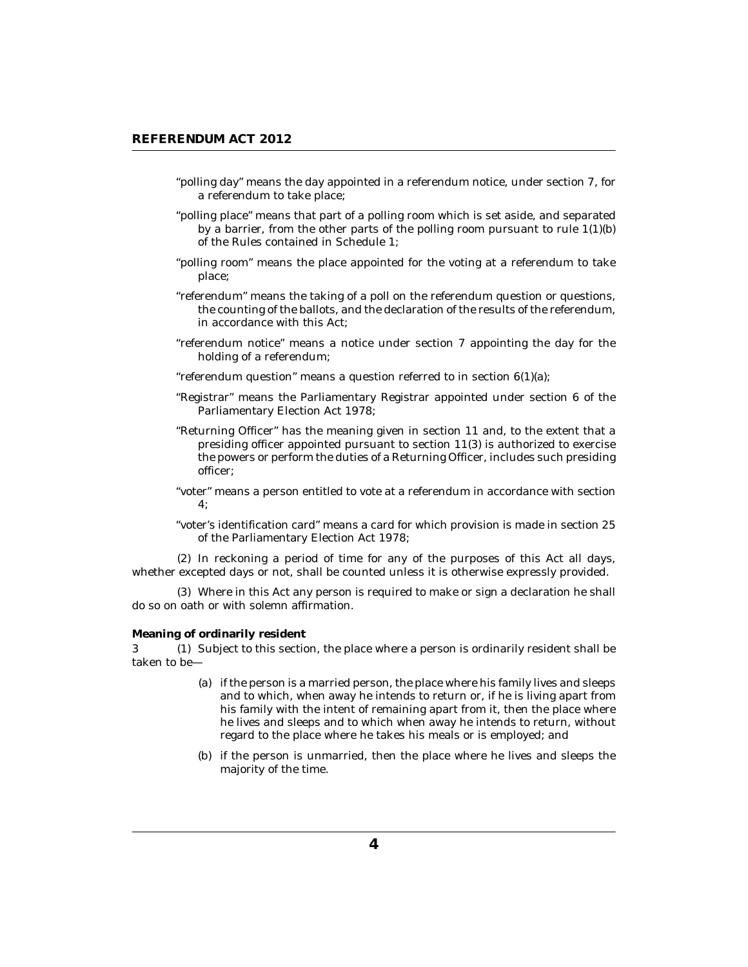- <span id="page-3-0"></span>"polling day" means the day appointed in a referendum notice, under section 7, for a referendum to take place;
- "polling place" means that part of a polling room which is set aside, and separated by a barrier, from the other parts of the polling room pursuant to rule 1(1)(b) of the Rules contained in Schedule 1;
- "polling room" means the place appointed for the voting at a referendum to take place;
- "referendum" means the taking of a poll on the referendum question or questions, the counting of the ballots, and the declaration of the results of the referendum, in accordance with this Act;
- "referendum notice" means a notice under section 7 appointing the day for the holding of a referendum;
- "referendum question" means a question referred to in section 6(1)(a);
- "Registrar" means the Parliamentary Registrar appointed under section 6 of the Parliamentary Election Act 1978;
- "Returning Officer" has the meaning given in section 11 and, to the extent that a presiding officer appointed pursuant to section 11(3) is authorized to exercise the powers or perform the duties of a Returning Officer, includes such presiding officer;
- "voter" means a person entitled to vote at a referendum in accordance with section 4;
- "voter's identification card" means a card for which provision is made in section 25 of the Parliamentary Election Act 1978;

 $(2)$  In reckoning a period of time for any of the purposes of this Act all days, whether excepted days or not, shall be counted unless it is otherwise expressly provided.

Where in this Act any person is required to make or sign a declaration he shall (3) do so on oath or with solemn affirmation.

#### **Meaning of ordinarily resident**

3 (1) Subject to this section, the place where a person is ordinarily resident shall be taken to be—

- if the person is a married person, the place where his family lives and sleeps (a) and to which, when away he intends to return or, if he is living apart from his family with the intent of remaining apart from it, then the place where he lives and sleeps and to which when away he intends to return, without regard to the place where he takes his meals or is employed; and
- (b) if the person is unmarried, then the place where he lives and sleeps the majority of the time.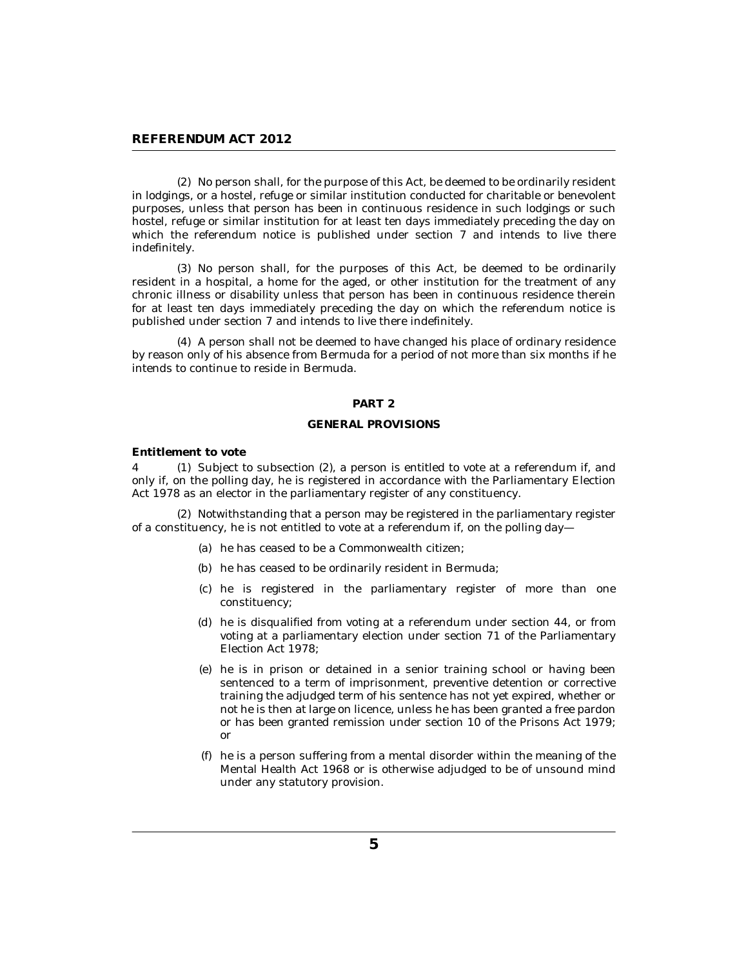<span id="page-4-0"></span>(2) No person shall, for the purpose of this Act, be deemed to be ordinarily resident in lodgings, or a hostel, refuge or similar institution conducted for charitable or benevolent purposes, unless that person has been in continuous residence in such lodgings or such hostel, refuge or similar institution for at least ten days immediately preceding the day on which the referendum notice is published under section 7 and intends to live there indefinitely.

(3) No person shall, for the purposes of this Act, be deemed to be ordinarily resident in a hospital, a home for the aged, or other institution for the treatment of any chronic illness or disability unless that person has been in continuous residence therein for at least ten days immediately preceding the day on which the referendum notice is published under section 7 and intends to live there indefinitely.

A person shall not be deemed to have changed his place of ordinary residence (4) by reason only of his absence from Bermuda for a period of not more than six months if he intends to continue to reside in Bermuda.

## **PART 2**

### **GENERAL PROVISIONS**

**Entitlement to vote**

4 (1) Subject to subsection (2), a person is entitled to vote at a referendum if, and only if, on the polling day, he is registered in accordance with the Parliamentary Election Act 1978 as an elector in the parliamentary register of any constituency.

(2) Notwithstanding that a person may be registered in the parliamentary register of a constituency, he is not entitled to vote at a referendum if, on the polling day—

- (a) he has ceased to be a Commonwealth citizen;
- (b) he has ceased to be ordinarily resident in Bermuda;
- (c) he is registered in the parliamentary register of more than one constituency;
- (d) he is disqualified from voting at a referendum under section 44, or from voting at a parliamentary election under section 71 of the Parliamentary Election Act 1978;
- he is in prison or detained in a senior training school or having been (e) sentenced to a term of imprisonment, preventive detention or corrective training the adjudged term of his sentence has not yet expired, whether or not he is then at large on licence, unless he has been granted a free pardon or has been granted remission under section 10 of the Prisons Act 1979; or
- $(f)$  he is a person suffering from a mental disorder within the meaning of the Mental Health Act 1968 or is otherwise adjudged to be of unsound mind under any statutory provision.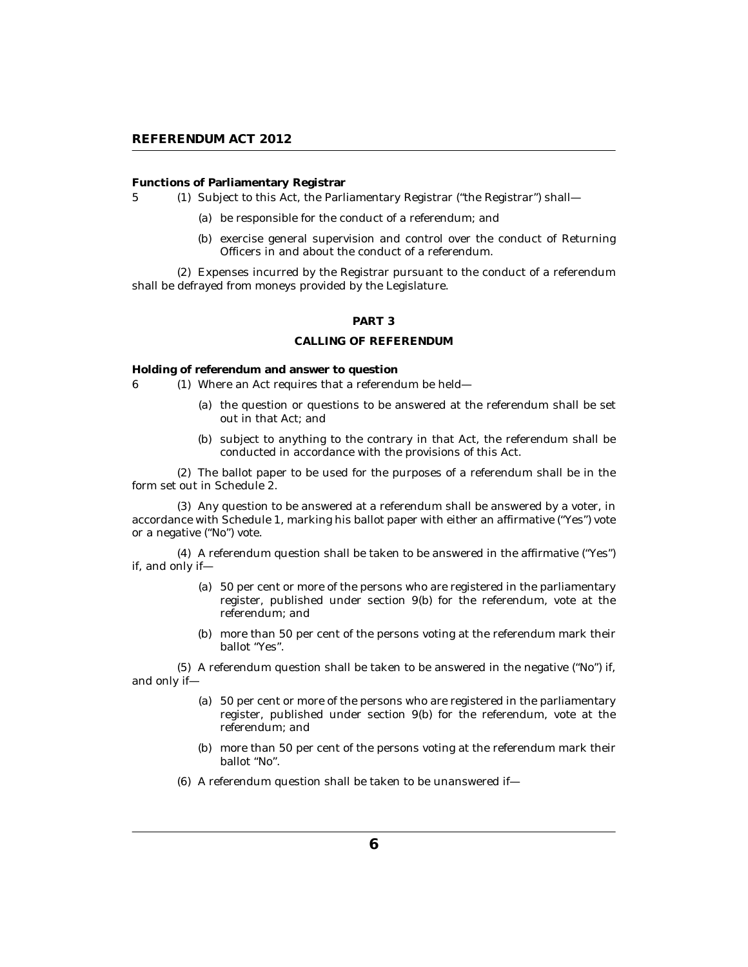<span id="page-5-0"></span>**Functions of Parliamentary Registrar**

- 5 (1) Subject to this Act, the Parliamentary Registrar ("the Registrar") shall
	- be responsible for the conduct of a referendum; and (a)
	- (b) exercise general supervision and control over the conduct of Returning Officers in and about the conduct of a referendum.

Expenses incurred by the Registrar pursuant to the conduct of a referendum (2) shall be defrayed from moneys provided by the Legislature.

### **PART 3**

### **CALLING OF REFERENDUM**

**Holding of referendum and answer to question**

- Where an Act requires that a referendum be held— 6 (1)
	- (a) the question or questions to be answered at the referendum shall be set out in that Act; and
	- (b) subject to anything to the contrary in that Act, the referendum shall be conducted in accordance with the provisions of this Act.

The ballot paper to be used for the purposes of a referendum shall be in the (2) form set out in Schedule 2.

Any question to be answered at a referendum shall be answered by a voter, in (3) accordance with Schedule 1, marking his ballot paper with either an affirmative ("Yes") vote or a negative ("No") vote.

A referendum question shall be taken to be answered in the affirmative ("Yes") (4) if, and only if—

- 50 per cent or more of the persons who are registered in the parliamentary (a) register, published under section 9(b) for the referendum, vote at the referendum; and
- (b) more than 50 per cent of the persons voting at the referendum mark their ballot "Yes".

 $(5)$  A referendum question shall be taken to be answered in the negative  $(NO<sup>n</sup>)$  if, and only if—

- 50 per cent or more of the persons who are registered in the parliamentary (a) register, published under section 9(b) for the referendum, vote at the referendum; and
- (b) more than 50 per cent of the persons voting at the referendum mark their ballot "No".
- A referendum question shall be taken to be unanswered if— (6)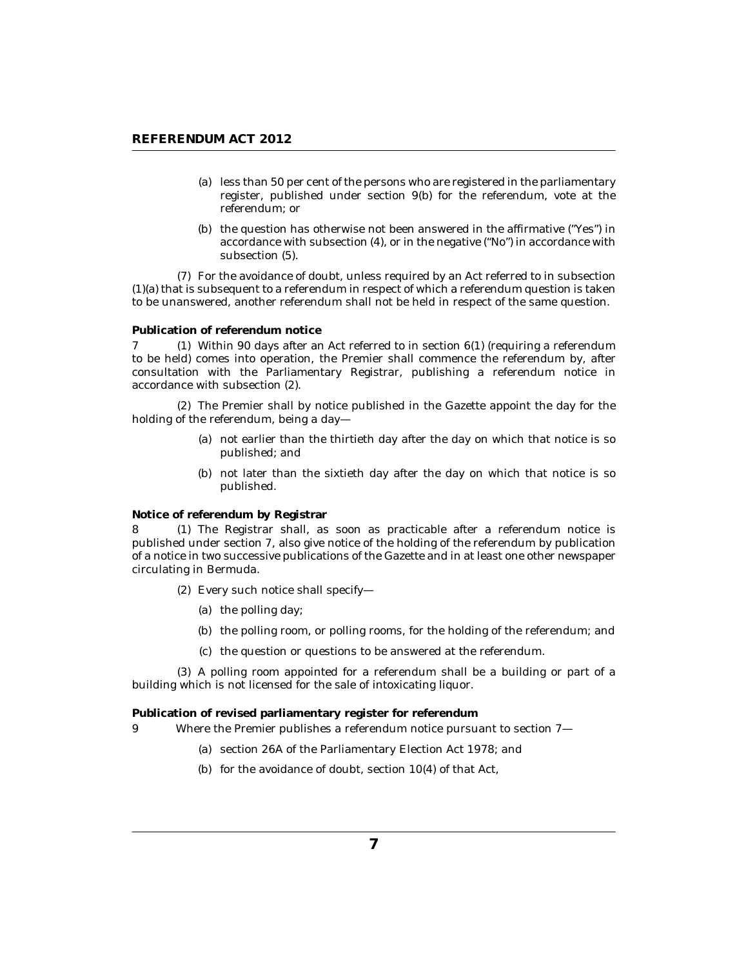- <span id="page-6-0"></span>(a) less than 50 per cent of the persons who are registered in the parliamentary register, published under section 9(b) for the referendum, vote at the referendum; or
- (b) the question has otherwise not been answered in the affirmative ("Yes") in accordance with subsection (4), or in the negative ("No") in accordance with subsection (5).

For the avoidance of doubt, unless required by an Act referred to in subsection (7) (1)(a) that is subsequent to a referendum in respect of which a referendum question is taken to be unanswered, another referendum shall not be held in respect of the same question.

#### **Publication of referendum notice**

 $7$  (1) Within 90 days after an Act referred to in section  $6(1)$  (requiring a referendum to be held) comes into operation, the Premier shall commence the referendum by, after consultation with the Parliamentary Registrar, publishing a referendum notice in accordance with subsection (2).

The Premier shall by notice published in the Gazette appoint the day for the (2) holding of the referendum, being a day—

- not earlier than the thirtieth day after the day on which that notice is so (a) published; and
- (b) not later than the sixtieth day after the day on which that notice is so published.

**Notice of referendum by Registrar**

8 (1) The Registrar shall, as soon as practicable after a referendum notice is published under section 7, also give notice of the holding of the referendum by publication of a notice in two successive publications of the Gazette and in at least one other newspaper circulating in Bermuda.

- Every such notice shall specify— (2)
	- (a) the polling day;
	- (b) the polling room, or polling rooms, for the holding of the referendum; and
	- (c) the question or questions to be answered at the referendum.

A polling room appointed for a referendum shall be a building or part of a (3) building which is not licensed for the sale of intoxicating liquor.

**Publication of revised parliamentary register for referendum**

- Where the Premier publishes a referendum notice pursuant to section 7— 9
	- (a) section 26A of the Parliamentary Election Act 1978; and
	- (b) for the avoidance of doubt, section  $10(4)$  of that Act,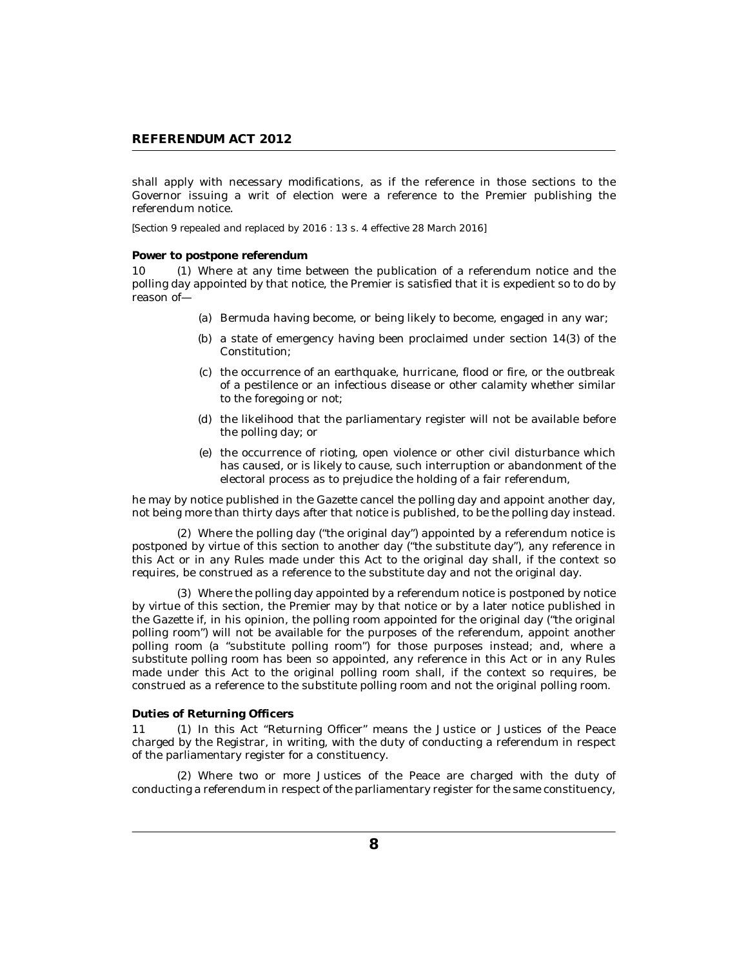<span id="page-7-0"></span>shall apply with necessary modifications, as if the reference in those sections to the Governor issuing a writ of election were a reference to the Premier publishing the referendum notice.

*[Section 9 repealed and replaced by 2016 : 13 s. 4 effective 28 March 2016]*

**Power to postpone referendum**

10 (1) Where at any time between the publication of a referendum notice and the polling day appointed by that notice, the Premier is satisfied that it is expedient so to do by reason of—

- (a) Bermuda having become, or being likely to become, engaged in any war;
- (b) a state of emergency having been proclaimed under section  $14(3)$  of the Constitution;
- (c) the occurrence of an earthquake, hurricane, flood or fire, or the outbreak of a pestilence or an infectious disease or other calamity whether similar to the foregoing or not;
- (d) the likelihood that the parliamentary register will not be available before the polling day; or
- (e) the occurrence of rioting, open violence or other civil disturbance which has caused, or is likely to cause, such interruption or abandonment of the electoral process as to prejudice the holding of a fair referendum,

he may by notice published in the Gazette cancel the polling day and appoint another day, not being more than thirty days after that notice is published, to be the polling day instead.

Where the polling day ("the original day") appointed by a referendum notice is (2) postponed by virtue of this section to another day ("the substitute day"), any reference in this Act or in any Rules made under this Act to the original day shall, if the context so requires, be construed as a reference to the substitute day and not the original day.

Where the polling day appointed by a referendum notice is postponed by notice (3) by virtue of this section, the Premier may by that notice or by a later notice published in the Gazette if, in his opinion, the polling room appointed for the original day ("the original polling room") will not be available for the purposes of the referendum, appoint another polling room (a "substitute polling room") for those purposes instead; and, where a substitute polling room has been so appointed, any reference in this Act or in any Rules made under this Act to the original polling room shall, if the context so requires, be construed as a reference to the substitute polling room and not the original polling room.

### **Duties of Returning Officers**

11 (1) In this Act "Returning Officer" means the Justice or Justices of the Peace charged by the Registrar, in writing, with the duty of conducting a referendum in respect of the parliamentary register for a constituency.

Where two or more Justices of the Peace are charged with the duty of (2) conducting a referendum in respect of the parliamentary register for the same constituency,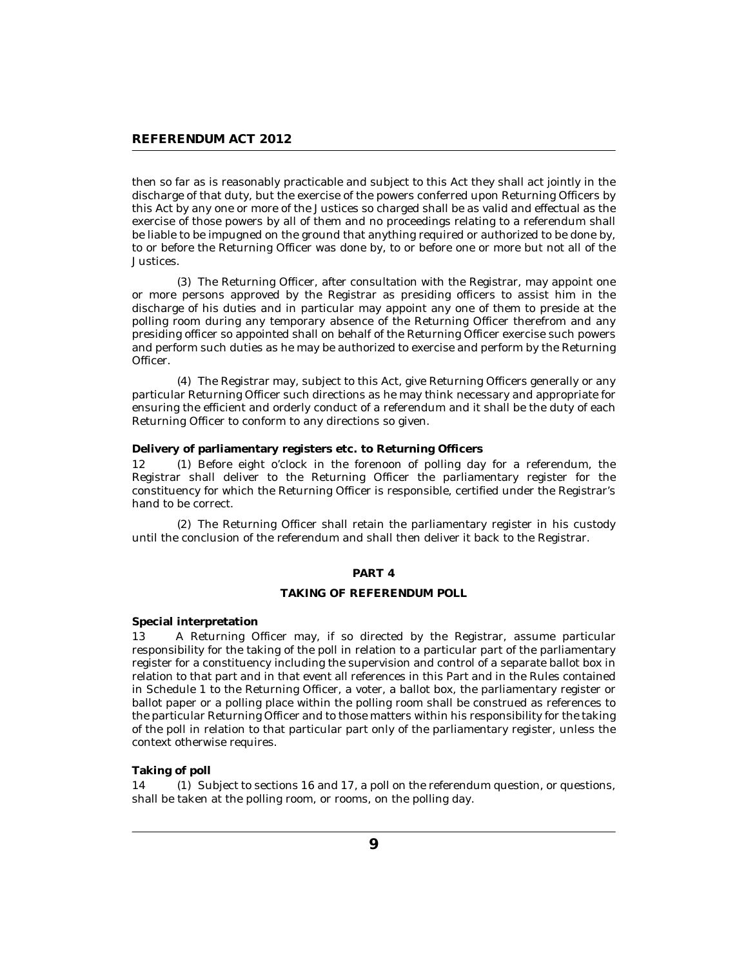<span id="page-8-0"></span>then so far as is reasonably practicable and subject to this Act they shall act jointly in the discharge of that duty, but the exercise of the powers conferred upon Returning Officers by this Act by any one or more of the Justices so charged shall be as valid and effectual as the exercise of those powers by all of them and no proceedings relating to a referendum shall be liable to be impugned on the ground that anything required or authorized to be done by, to or before the Returning Officer was done by, to or before one or more but not all of the Justices.

The Returning Officer, after consultation with the Registrar, may appoint one (3) or more persons approved by the Registrar as presiding officers to assist him in the discharge of his duties and in particular may appoint any one of them to preside at the polling room during any temporary absence of the Returning Officer therefrom and any presiding officer so appointed shall on behalf of the Returning Officer exercise such powers and perform such duties as he may be authorized to exercise and perform by the Returning Officer.

The Registrar may, subject to this Act, give Returning Officers generally or any (4) particular Returning Officer such directions as he may think necessary and appropriate for ensuring the efficient and orderly conduct of a referendum and it shall be the duty of each Returning Officer to conform to any directions so given.

**Delivery of parliamentary registers etc. to Returning Officers**

Before eight o'clock in the forenoon of polling day for a referendum, the Registrar shall deliver to the Returning Officer the parliamentary register for the constituency for which the Returning Officer is responsible, certified under the Registrar's hand to be correct.  $12<sub>1</sub>$ 

(2) The Returning Officer shall retain the parliamentary register in his custody until the conclusion of the referendum and shall then deliver it back to the Registrar.

### **PART 4**

### **TAKING OF REFERENDUM POLL**

**Special interpretation**

A Returning Officer may, if so directed by the Registrar, assume particular responsibility for the taking of the poll in relation to a particular part of the parliamentary register for a constituency including the supervision and control of a separate ballot box in relation to that part and in that event all references in this Part and in the Rules contained in Schedule 1 to the Returning Officer, a voter, a ballot box, the parliamentary register or ballot paper or a polling place within the polling room shall be construed as references to the particular Returning Officer and to those matters within his responsibility for the taking of the poll in relation to that particular part only of the parliamentary register, unless the context otherwise requires. 13

**Taking of poll**

14 (1) Subject to sections 16 and 17, a poll on the referendum question, or questions, shall be taken at the polling room, or rooms, on the polling day.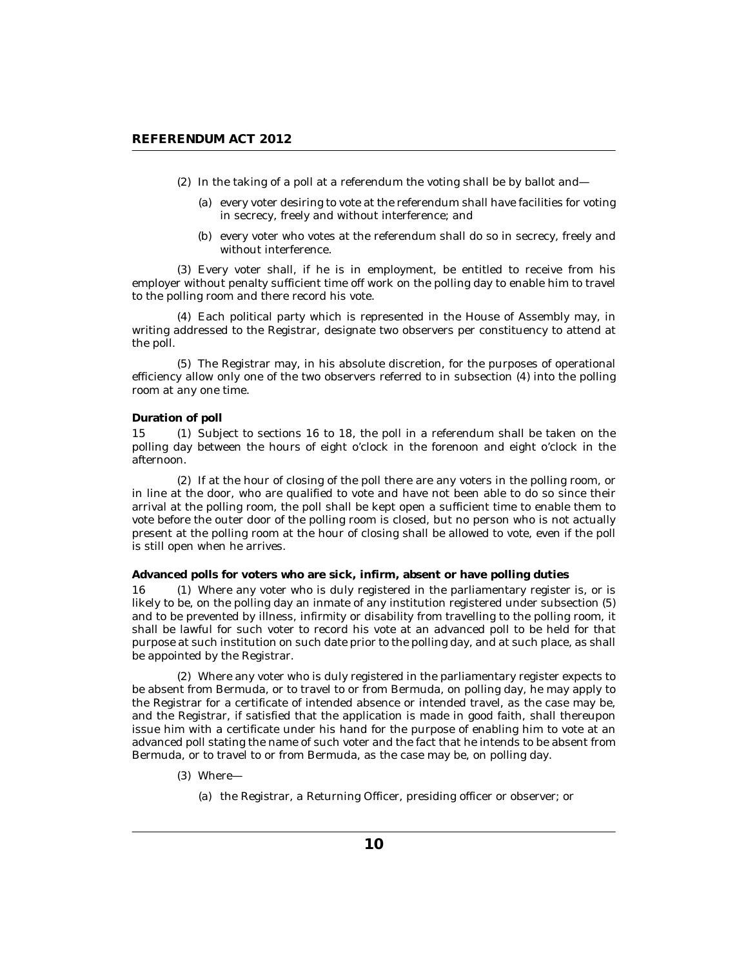- <span id="page-9-0"></span> $(2)$  In the taking of a poll at a referendum the voting shall be by ballot and—
	- (a) every voter desiring to vote at the referendum shall have facilities for voting in secrecy, freely and without interference; and
	- (b) every voter who votes at the referendum shall do so in secrecy, freely and without interference.

Every voter shall, if he is in employment, be entitled to receive from his (3) employer without penalty sufficient time off work on the polling day to enable him to travel to the polling room and there record his vote.

Each political party which is represented in the House of Assembly may, in (4) writing addressed to the Registrar, designate two observers per constituency to attend at the poll.

The Registrar may, in his absolute discretion, for the purposes of operational (5) efficiency allow only one of the two observers referred to in subsection (4) into the polling room at any one time.

#### **Duration of poll**

15 (1) Subject to sections 16 to 18, the poll in a referendum shall be taken on the polling day between the hours of eight o'clock in the forenoon and eight o'clock in the afternoon.

(2) If at the hour of closing of the poll there are any voters in the polling room, or in line at the door, who are qualified to vote and have not been able to do so since their arrival at the polling room, the poll shall be kept open a sufficient time to enable them to vote before the outer door of the polling room is closed, but no person who is not actually present at the polling room at the hour of closing shall be allowed to vote, even if the poll is still open when he arrives.

**Advanced polls for voters who are sick, infirm, absent or have polling duties**

16 (1) Where any voter who is duly registered in the parliamentary register is, or is likely to be, on the polling day an inmate of any institution registered under subsection (5) and to be prevented by illness, infirmity or disability from travelling to the polling room, it shall be lawful for such voter to record his vote at an advanced poll to be held for that purpose at such institution on such date prior to the polling day, and at such place, as shall be appointed by the Registrar.

Where any voter who is duly registered in the parliamentary register expects to (2) be absent from Bermuda, or to travel to or from Bermuda, on polling day, he may apply to the Registrar for a certificate of intended absence or intended travel, as the case may be, and the Registrar, if satisfied that the application is made in good faith, shall thereupon issue him with a certificate under his hand for the purpose of enabling him to vote at an advanced poll stating the name of such voter and the fact that he intends to be absent from Bermuda, or to travel to or from Bermuda, as the case may be, on polling day.

- Where— (3)
	- (a) the Registrar, a Returning Officer, presiding officer or observer; or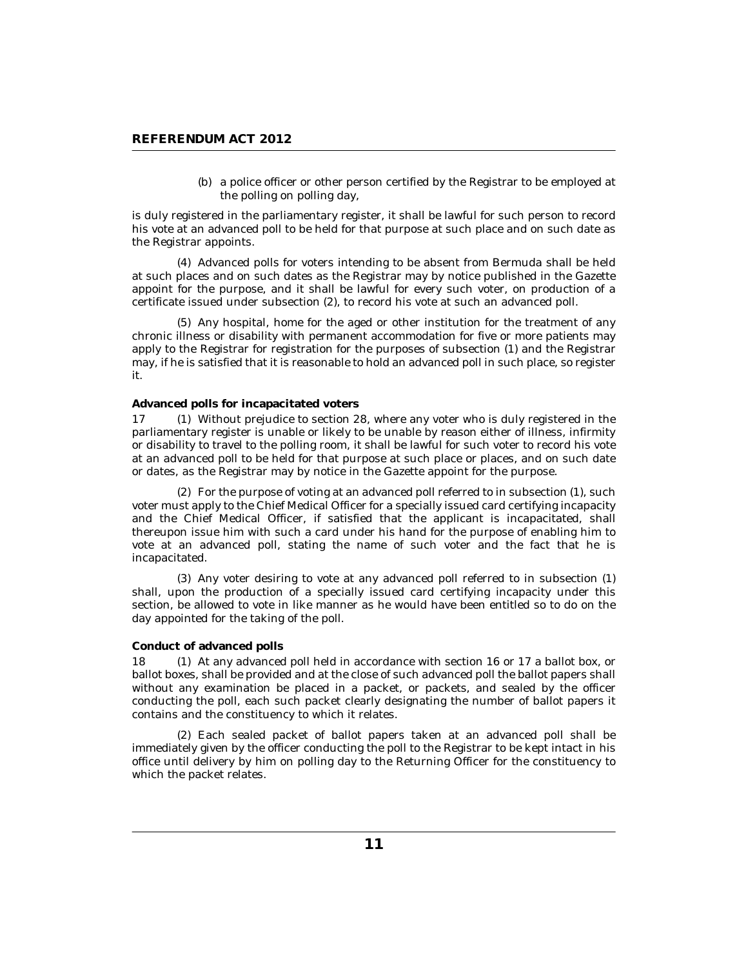(b) a police officer or other person certified by the Registrar to be employed at the polling on polling day,

<span id="page-10-0"></span>is duly registered in the parliamentary register, it shall be lawful for such person to record his vote at an advanced poll to be held for that purpose at such place and on such date as the Registrar appoints.

Advanced polls for voters intending to be absent from Bermuda shall be held (4) at such places and on such dates as the Registrar may by notice published in the Gazette appoint for the purpose, and it shall be lawful for every such voter, on production of a certificate issued under subsection (2), to record his vote at such an advanced poll.

(5) Any hospital, home for the aged or other institution for the treatment of any chronic illness or disability with permanent accommodation for five or more patients may apply to the Registrar for registration for the purposes of subsection (1) and the Registrar may, if he is satisfied that it is reasonable to hold an advanced poll in such place, so register it.

### **Advanced polls for incapacitated voters**

17 (1) Without prejudice to section 28, where any voter who is duly registered in the parliamentary register is unable or likely to be unable by reason either of illness, infirmity or disability to travel to the polling room, it shall be lawful for such voter to record his vote at an advanced poll to be held for that purpose at such place or places, and on such date or dates, as the Registrar may by notice in the Gazette appoint for the purpose.

For the purpose of voting at an advanced poll referred to in subsection (1), such (2) voter must apply to the Chief Medical Officer for a specially issued card certifying incapacity and the Chief Medical Officer, if satisfied that the applicant is incapacitated, shall thereupon issue him with such a card under his hand for the purpose of enabling him to vote at an advanced poll, stating the name of such voter and the fact that he is incapacitated.

(3) Any voter desiring to vote at any advanced poll referred to in subsection (1) shall, upon the production of a specially issued card certifying incapacity under this section, be allowed to vote in like manner as he would have been entitled so to do on the day appointed for the taking of the poll.

#### **Conduct of advanced polls**

18 (1) At any advanced poll held in accordance with section 16 or 17 a ballot box, or ballot boxes, shall be provided and at the close of such advanced poll the ballot papers shall without any examination be placed in a packet, or packets, and sealed by the officer conducting the poll, each such packet clearly designating the number of ballot papers it contains and the constituency to which it relates.

Each sealed packet of ballot papers taken at an advanced poll shall be (2) immediately given by the officer conducting the poll to the Registrar to be kept intact in his office until delivery by him on polling day to the Returning Officer for the constituency to which the packet relates.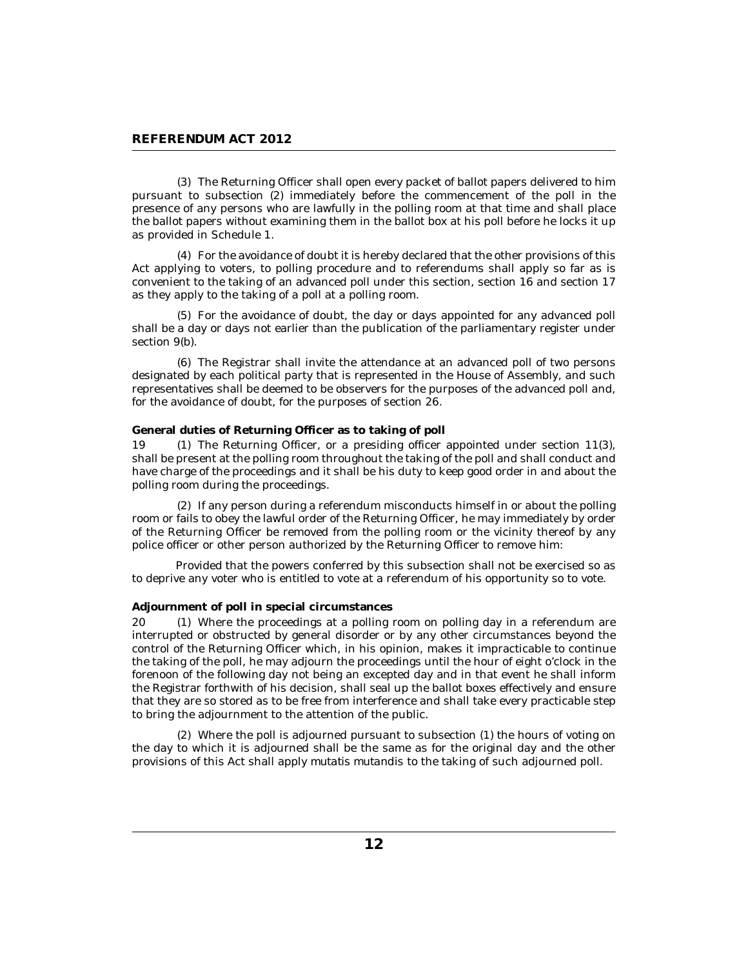<span id="page-11-0"></span>The Returning Officer shall open every packet of ballot papers delivered to him (3) pursuant to subsection (2) immediately before the commencement of the poll in the presence of any persons who are lawfully in the polling room at that time and shall place the ballot papers without examining them in the ballot box at his poll before he locks it up as provided in Schedule 1.

For the avoidance of doubt it is hereby declared that the other provisions of this (4) Act applying to voters, to polling procedure and to referendums shall apply so far as is convenient to the taking of an advanced poll under this section, section 16 and section 17 as they apply to the taking of a poll at a polling room.

For the avoidance of doubt, the day or days appointed for any advanced poll (5) shall be a day or days not earlier than the publication of the parliamentary register under section 9(b).

The Registrar shall invite the attendance at an advanced poll of two persons (6) designated by each political party that is represented in the House of Assembly, and such representatives shall be deemed to be observers for the purposes of the advanced poll and, for the avoidance of doubt, for the purposes of section 26.

### **General duties of Returning Officer as to taking of poll**

(1) The Returning Officer, or a presiding officer appointed under section  $11(3)$ , shall be present at the polling room throughout the taking of the poll and shall conduct and have charge of the proceedings and it shall be his duty to keep good order in and about the polling room during the proceedings. 19 (1)

(2) If any person during a referendum misconducts himself in or about the polling room or fails to obey the lawful order of the Returning Officer, he may immediately by order of the Returning Officer be removed from the polling room or the vicinity thereof by any police officer or other person authorized by the Returning Officer to remove him:

Provided that the powers conferred by this subsection shall not be exercised so as to deprive any voter who is entitled to vote at a referendum of his opportunity so to vote.

#### **Adjournment of poll in special circumstances**

20 (1) Where the proceedings at a polling room on polling day in a referendum are interrupted or obstructed by general disorder or by any other circumstances beyond the control of the Returning Officer which, in his opinion, makes it impracticable to continue the taking of the poll, he may adjourn the proceedings until the hour of eight o'clock in the forenoon of the following day not being an excepted day and in that event he shall inform the Registrar forthwith of his decision, shall seal up the ballot boxes effectively and ensure that they are so stored as to be free from interference and shall take every practicable step to bring the adjournment to the attention of the public.

Where the poll is adjourned pursuant to subsection (1) the hours of voting on (2) the day to which it is adjourned shall be the same as for the original day and the other provisions of this Act shall apply *mutatis mutandis* to the taking of such adjourned poll.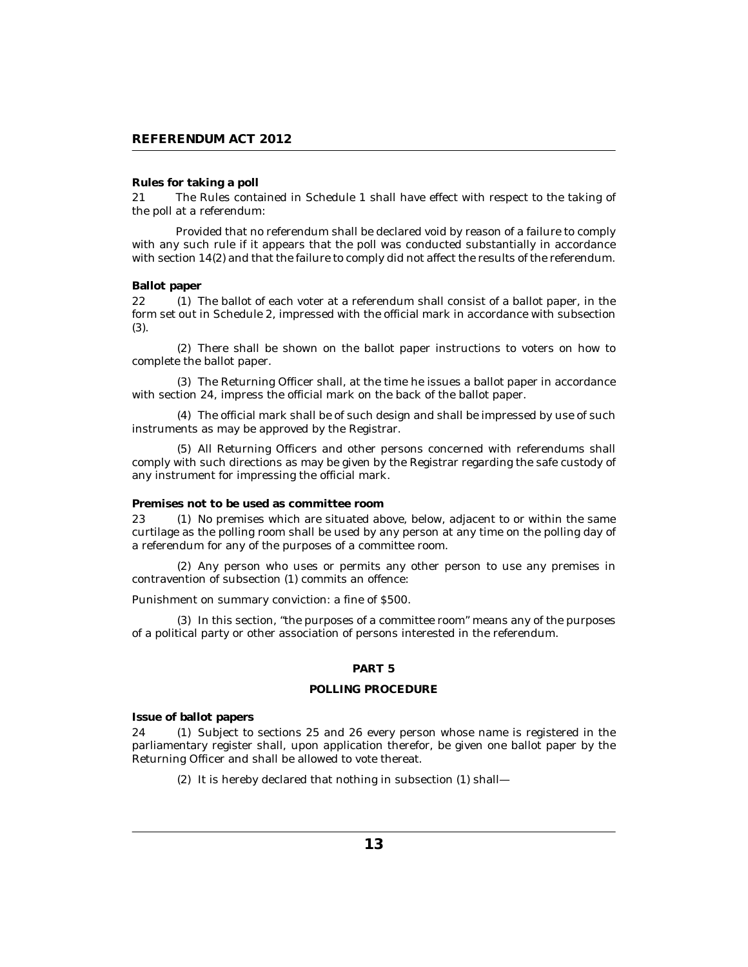### <span id="page-12-0"></span>**Rules for taking a poll**

The Rules contained in Schedule 1 shall have effect with respect to the taking of the poll at a referendum: 21

Provided that no referendum shall be declared void by reason of a failure to comply with any such rule if it appears that the poll was conducted substantially in accordance with section 14(2) and that the failure to comply did not affect the results of the referendum.

#### **Ballot paper**

22 (1) The ballot of each voter at a referendum shall consist of a ballot paper, in the form set out in Schedule 2, impressed with the official mark in accordance with subsection (3).

(2) There shall be shown on the ballot paper instructions to voters on how to complete the ballot paper.

The Returning Officer shall, at the time he issues a ballot paper in accordance (3) with section 24, impress the official mark on the back of the ballot paper.

The official mark shall be of such design and shall be impressed by use of such (4) instruments as may be approved by the Registrar.

All Returning Officers and other persons concerned with referendums shall (5) comply with such directions as may be given by the Registrar regarding the safe custody of any instrument for impressing the official mark.

#### **Premises not to be used as committee room**

23 (1) No premises which are situated above, below, adjacent to or within the same curtilage as the polling room shall be used by any person at any time on the polling day of a referendum for any of the purposes of a committee room.

(2) Any person who uses or permits any other person to use any premises in contravention of subsection (1) commits an offence:

Punishment on summary conviction: a fine of \$500.

(3) In this section, "the purposes of a committee room" means any of the purposes of a political party or other association of persons interested in the referendum.

#### **PART 5**

#### **POLLING PROCEDURE**

**Issue of ballot papers**

24 (1) Subject to sections 25 and 26 every person whose name is registered in the parliamentary register shall, upon application therefor, be given one ballot paper by the Returning Officer and shall be allowed to vote thereat.

(2) It is hereby declared that nothing in subsection (1) shall-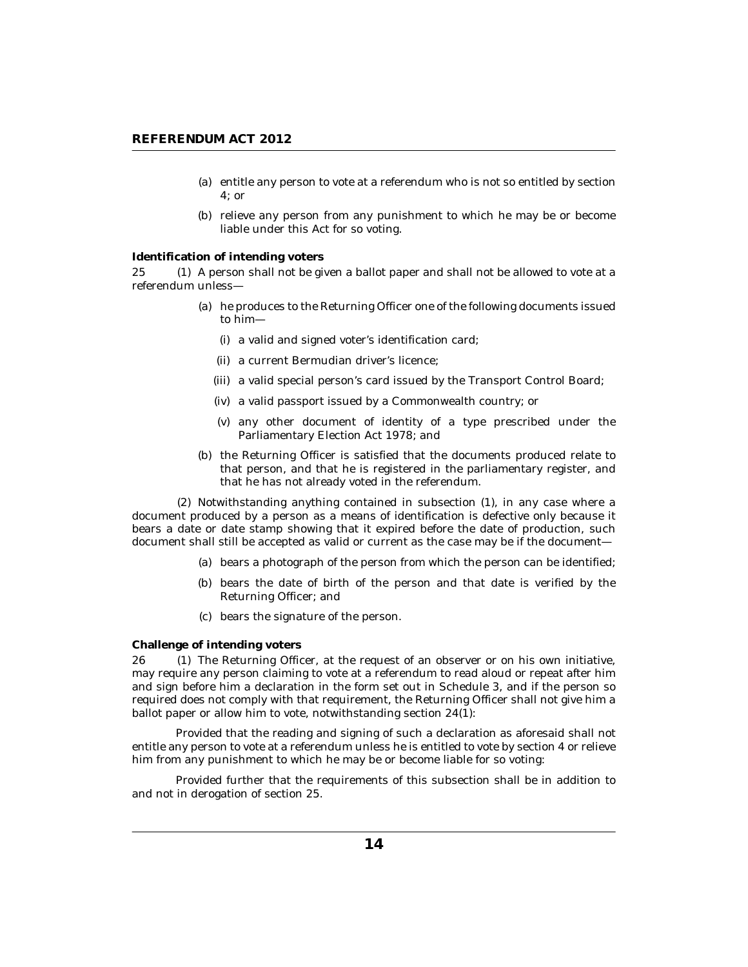- <span id="page-13-0"></span>(a) entitle any person to vote at a referendum who is not so entitled by section 4; or
- (b) relieve any person from any punishment to which he may be or become liable under this Act for so voting.

#### **Identification of intending voters**

25 (1) A person shall not be given a ballot paper and shall not be allowed to vote at a referendum unless—

- (a) he produces to the Returning Officer one of the following documents issued to him—
	- (i) a valid and signed voter's identification card;
	- (ii) a current Bermudian driver's licence;
	- (iii) a valid special person's card issued by the Transport Control Board;
	- a valid passport issued by a Commonwealth country; or (iv)
	- (v) any other document of identity of a type prescribed under the Parliamentary Election Act 1978; and
- (b) the Returning Officer is satisfied that the documents produced relate to that person, and that he is registered in the parliamentary register, and that he has not already voted in the referendum.

(2) Notwithstanding anything contained in subsection (1), in any case where a document produced by a person as a means of identification is defective only because it bears a date or date stamp showing that it expired before the date of production, such document shall still be accepted as valid or current as the case may be if the document—

- bears a photograph of the person from which the person can be identified; (a)
- (b) bears the date of birth of the person and that date is verified by the Returning Officer; and
- bears the signature of the person. (c)

#### **Challenge of intending voters**

26 (1) The Returning Officer, at the request of an observer or on his own initiative, may require any person claiming to vote at a referendum to read aloud or repeat after him and sign before him a declaration in the form set out in Schedule 3, and if the person so required does not comply with that requirement, the Returning Officer shall not give him a ballot paper or allow him to vote, notwithstanding section  $24(1)$ :

Provided that the reading and signing of such a declaration as aforesaid shall not entitle any person to vote at a referendum unless he is entitled to vote by section 4 or relieve him from any punishment to which he may be or become liable for so voting:

Provided further that the requirements of this subsection shall be in addition to and not in derogation of section 25.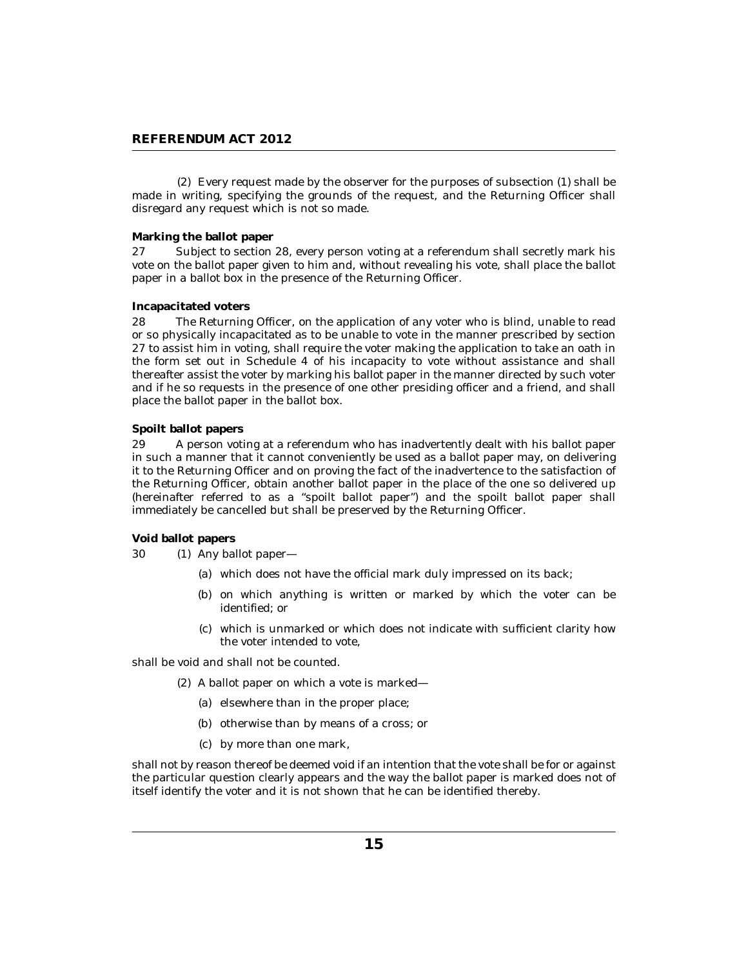<span id="page-14-0"></span>Every request made by the observer for the purposes of subsection (1) shall be (2) made in writing, specifying the grounds of the request, and the Returning Officer shall disregard any request which is not so made.

### **Marking the ballot paper**

Subject to section 28, every person voting at a referendum shall secretly mark his vote on the ballot paper given to him and, without revealing his vote, shall place the ballot paper in a ballot box in the presence of the Returning Officer. 27

#### **Incapacitated voters**

The Returning Officer, on the application of any voter who is blind, unable to read or so physically incapacitated as to be unable to vote in the manner prescribed by section 27 to assist him in voting, shall require the voter making the application to take an oath in the form set out in Schedule 4 of his incapacity to vote without assistance and shall thereafter assist the voter by marking his ballot paper in the manner directed by such voter and if he so requests in the presence of one other presiding officer and a friend, and shall place the ballot paper in the ballot box. 28

### **Spoilt ballot papers**

A person voting at a referendum who has inadvertently dealt with his ballot paper in such a manner that it cannot conveniently be used as a ballot paper may, on delivering it to the Returning Officer and on proving the fact of the inadvertence to the satisfaction of the Returning Officer, obtain another ballot paper in the place of the one so delivered up (hereinafter referred to as a "spoilt ballot paper") and the spoilt ballot paper shall immediately be cancelled but shall be preserved by the Returning Officer. 29

### **Void ballot papers**

 $(1)$  Any ballot paper— 30

- which does not have the official mark duly impressed on its back; (a)
- (b) on which anything is written or marked by which the voter can be identified; or
- (c) which is unmarked or which does not indicate with sufficient clarity how the voter intended to vote,

shall be void and shall not be counted.

- (2) A ballot paper on which a vote is marked—
	- (a) elsewhere than in the proper place;
	- (b) otherwise than by means of a cross; or
	- by more than one mark, (c)

shall not by reason thereof be deemed void if an intention that the vote shall be for or against the particular question clearly appears and the way the ballot paper is marked does not of itself identify the voter and it is not shown that he can be identified thereby.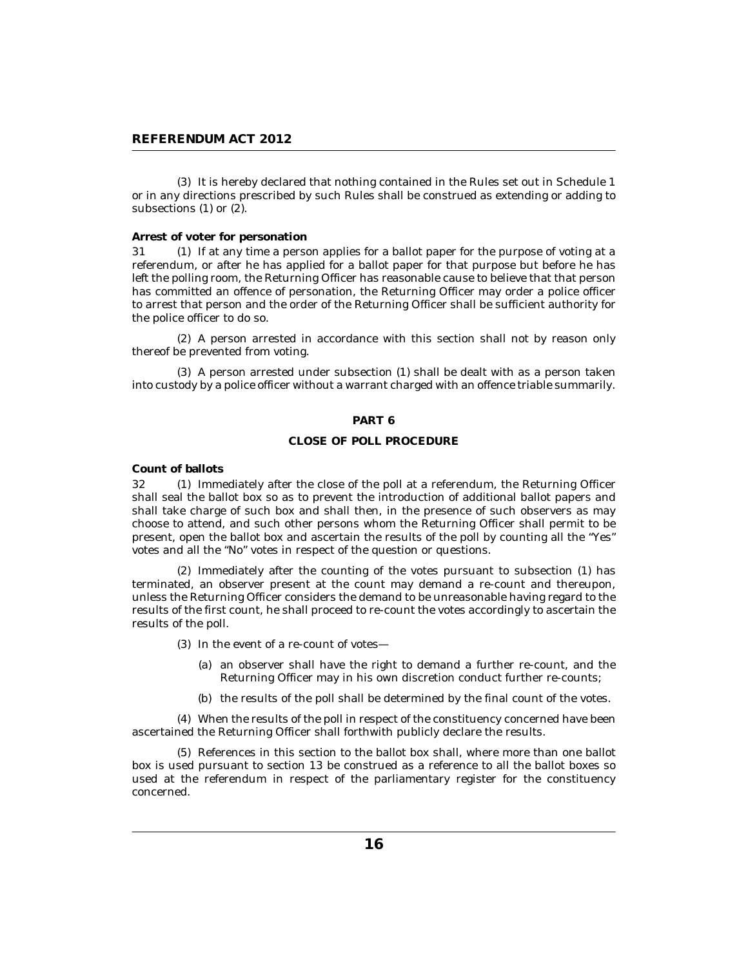<span id="page-15-0"></span>(3) It is hereby declared that nothing contained in the Rules set out in Schedule 1 or in any directions prescribed by such Rules shall be construed as extending or adding to subsections (1) or (2).

### **Arrest of voter for personation**

31 (1) If at any time a person applies for a ballot paper for the purpose of voting at a referendum, or after he has applied for a ballot paper for that purpose but before he has left the polling room, the Returning Officer has reasonable cause to believe that that person has committed an offence of personation, the Returning Officer may order a police officer to arrest that person and the order of the Returning Officer shall be sufficient authority for the police officer to do so.

A person arrested in accordance with this section shall not by reason only (2) thereof be prevented from voting.

A person arrested under subsection (1) shall be dealt with as a person taken (3) into custody by a police officer without a warrant charged with an offence triable summarily.

#### **PART 6**

#### **CLOSE OF POLL PROCEDURE**

**Count of ballots**

32 (1) Immediately after the close of the poll at a referendum, the Returning Officer shall seal the ballot box so as to prevent the introduction of additional ballot papers and shall take charge of such box and shall then, in the presence of such observers as may choose to attend, and such other persons whom the Returning Officer shall permit to be present, open the ballot box and ascertain the results of the poll by counting all the "Yes" votes and all the "No" votes in respect of the question or questions.

 $(2)$  Immediately after the counting of the votes pursuant to subsection  $(1)$  has terminated, an observer present at the count may demand a re-count and thereupon, unless the Returning Officer considers the demand to be unreasonable having regard to the results of the first count, he shall proceed to re-count the votes accordingly to ascertain the results of the poll.

- $(3)$  In the event of a re-count of votes-
	- (a) an observer shall have the right to demand a further re-count, and the Returning Officer may in his own discretion conduct further re-counts;
	- (b) the results of the poll shall be determined by the final count of the votes.

When the results of the poll in respect of the constituency concerned have been (4) ascertained the Returning Officer shall forthwith publicly declare the results.

(5) References in this section to the ballot box shall, where more than one ballot box is used pursuant to section 13 be construed as a reference to all the ballot boxes so used at the referendum in respect of the parliamentary register for the constituency concerned.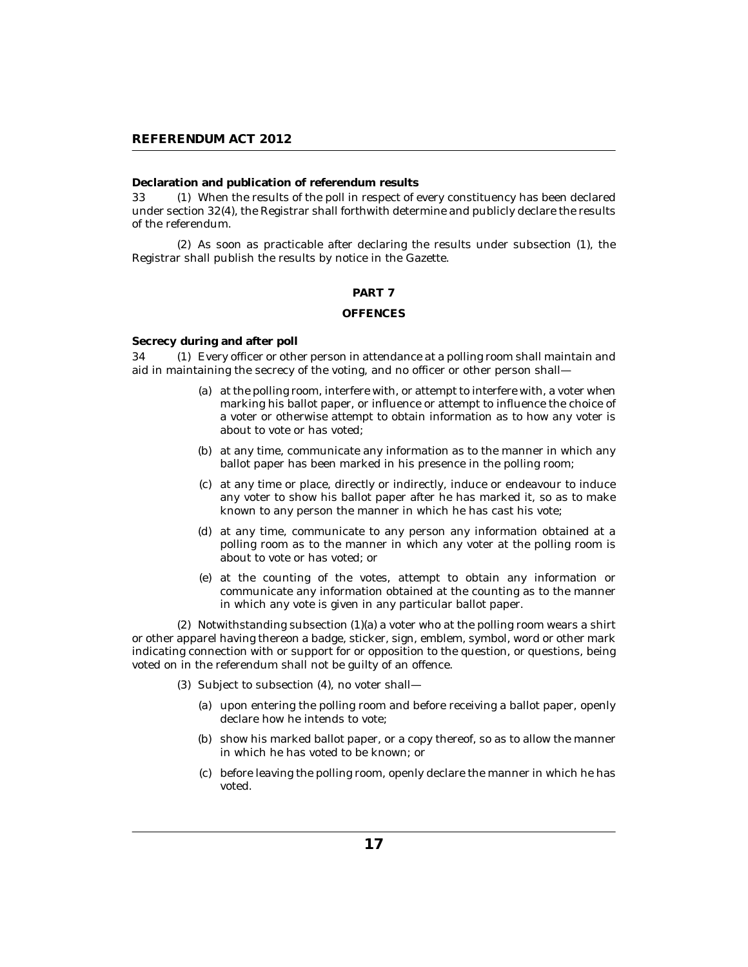### <span id="page-16-0"></span>**Declaration and publication of referendum results**

When the results of the poll in respect of every constituency has been declared under section 32(4), the Registrar shall forthwith determine and publicly declare the results of the referendum. 33

 $(2)$  As soon as practicable after declaring the results under subsection  $(1)$ , the Registrar shall publish the results by notice in the Gazette.

### **PART 7**

#### **OFFENCES**

**Secrecy during and after poll**

34 (1) Every officer or other person in attendance at a polling room shall maintain and aid in maintaining the secrecy of the voting, and no officer or other person shall—

- at the polling room, interfere with, or attempt to interfere with, a voter when (a) marking his ballot paper, or influence or attempt to influence the choice of a voter or otherwise attempt to obtain information as to how any voter is about to vote or has voted;
- (b) at any time, communicate any information as to the manner in which any ballot paper has been marked in his presence in the polling room;
- at any time or place, directly or indirectly, induce or endeavour to induce (c) any voter to show his ballot paper after he has marked it, so as to make known to any person the manner in which he has cast his vote;
- at any time, communicate to any person any information obtained at a (d) polling room as to the manner in which any voter at the polling room is about to vote or has voted; or
- at the counting of the votes, attempt to obtain any information or (e) communicate any information obtained at the counting as to the manner in which any vote is given in any particular ballot paper.

 $(2)$  Notwithstanding subsection  $(1)(a)$  a voter who at the polling room wears a shirt or other apparel having thereon a badge, sticker, sign, emblem, symbol, word or other mark indicating connection with or support for or opposition to the question, or questions, being voted on in the referendum shall not be guilty of an offence.

(3) Subject to subsection (4), no voter shall-

- (a) upon entering the polling room and before receiving a ballot paper, openly declare how he intends to vote;
- (b) show his marked ballot paper, or a copy thereof, so as to allow the manner in which he has voted to be known; or
- before leaving the polling room, openly declare the manner in which he has (c) voted.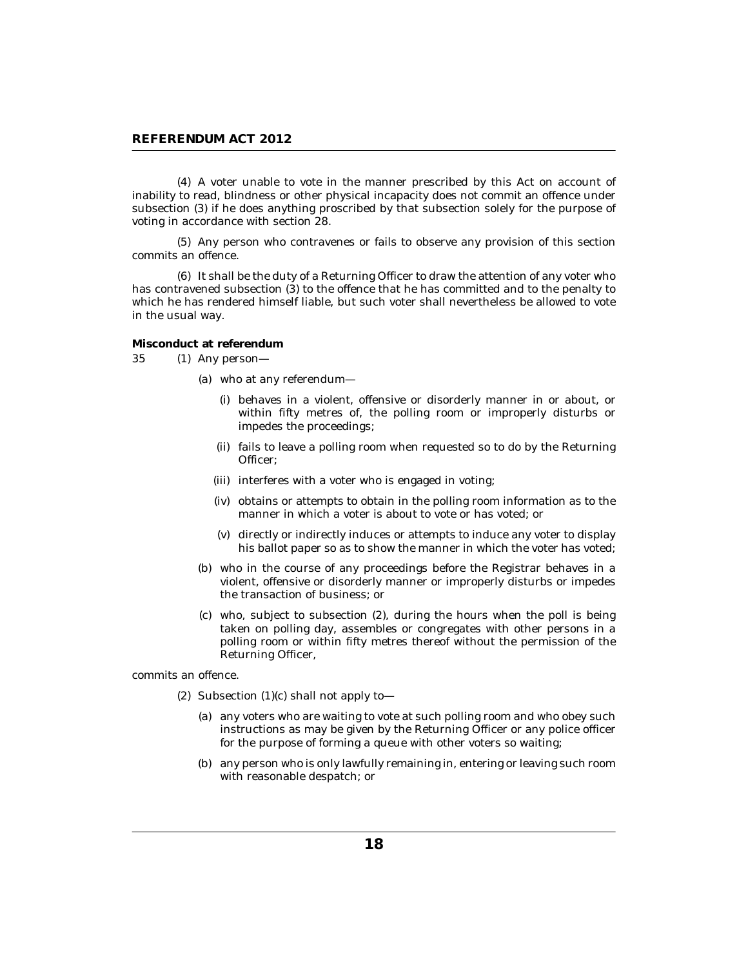<span id="page-17-0"></span>A voter unable to vote in the manner prescribed by this Act on account of (4) inability to read, blindness or other physical incapacity does not commit an offence under subsection (3) if he does anything proscribed by that subsection solely for the purpose of voting in accordance with section 28.

(5) Any person who contravenes or fails to observe any provision of this section commits an offence.

It shall be the duty of a Returning Officer to draw the attention of any voter who (6) has contravened subsection (3) to the offence that he has committed and to the penalty to which he has rendered himself liable, but such voter shall nevertheless be allowed to vote in the usual way.

**Misconduct at referendum**

- 35 (1) Any person
	- who at any referendum— (a)
		- behaves in a violent, offensive or disorderly manner in or about, or (i) within fifty metres of, the polling room or improperly disturbs or impedes the proceedings;
		- fails to leave a polling room when requested so to do by the Returning (ii) Officer;
		- (iii) interferes with a voter who is engaged in voting;
		- (iv) obtains or attempts to obtain in the polling room information as to the manner in which a voter is about to vote or has voted; or
		- (v) directly or indirectly induces or attempts to induce any voter to display his ballot paper so as to show the manner in which the voter has voted;
	- (b) who in the course of any proceedings before the Registrar behaves in a violent, offensive or disorderly manner or improperly disturbs or impedes the transaction of business; or
	- (c) who, subject to subsection (2), during the hours when the poll is being taken on polling day, assembles or congregates with other persons in a polling room or within fifty metres thereof without the permission of the Returning Officer,

commits an offence.

- (2) Subsection  $(1)(c)$  shall not apply to-
	- (a) any voters who are waiting to vote at such polling room and who obey such instructions as may be given by the Returning Officer or any police officer for the purpose of forming a queue with other voters so waiting;
	- (b) any person who is only lawfully remaining in, entering or leaving such room with reasonable despatch; or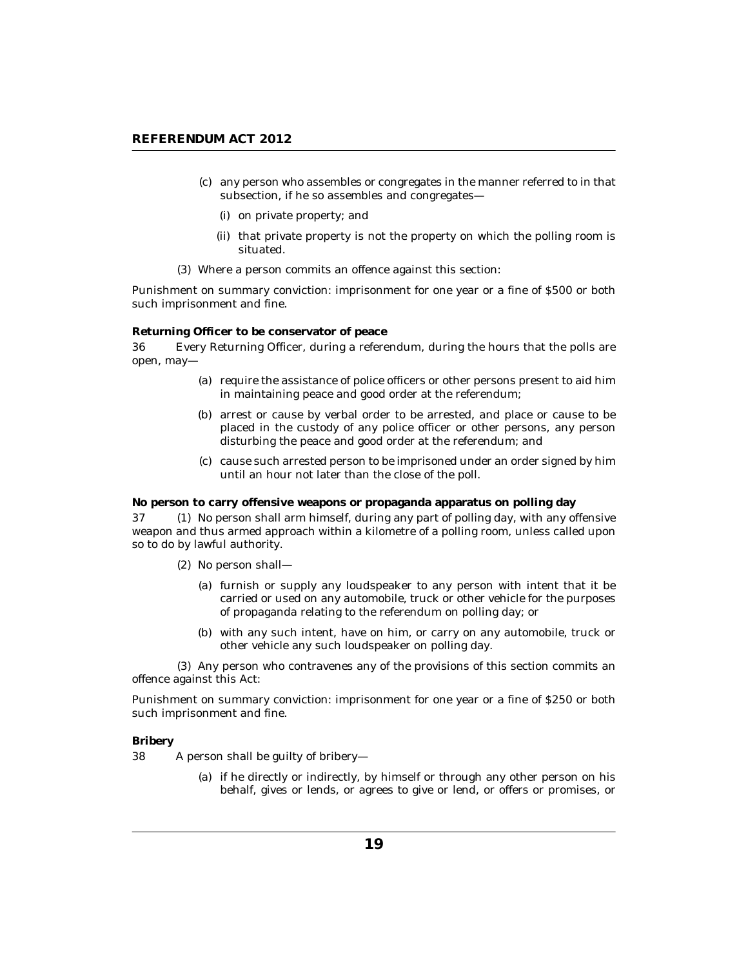- <span id="page-18-0"></span>(c) any person who assembles or congregates in the manner referred to in that subsection, if he so assembles and congregates—
	- (i) on private property; and
	- (ii) that private property is not the property on which the polling room is situated.
- Where a person commits an offence against this section: (3)

Punishment on summary conviction: imprisonment for one year or a fine of \$500 or both such imprisonment and fine.

**Returning Officer to be conservator of peace**

Every Returning Officer, during a referendum, during the hours that the polls are open, may— 36

- (a) require the assistance of police officers or other persons present to aid him in maintaining peace and good order at the referendum;
- (b) arrest or cause by verbal order to be arrested, and place or cause to be placed in the custody of any police officer or other persons, any person disturbing the peace and good order at the referendum; and
- (c) cause such arrested person to be imprisoned under an order signed by him until an hour not later than the close of the poll.

**No person to carry offensive weapons or propaganda apparatus on polling day**

37 (1) No person shall arm himself, during any part of polling day, with any offensive weapon and thus armed approach within a kilometre of a polling room, unless called upon so to do by lawful authority.

- (2) No person shall-
	- (a) furnish or supply any loudspeaker to any person with intent that it be carried or used on any automobile, truck or other vehicle for the purposes of propaganda relating to the referendum on polling day; or
	- (b) with any such intent, have on him, or carry on any automobile, truck or other vehicle any such loudspeaker on polling day.

(3) Any person who contravenes any of the provisions of this section commits an offence against this Act:

Punishment on summary conviction: imprisonment for one year or a fine of \$250 or both such imprisonment and fine.

**Bribery**

A person shall be guilty of bribery— 38

> (a) if he directly or indirectly, by himself or through any other person on his behalf, gives or lends, or agrees to give or lend, or offers or promises, or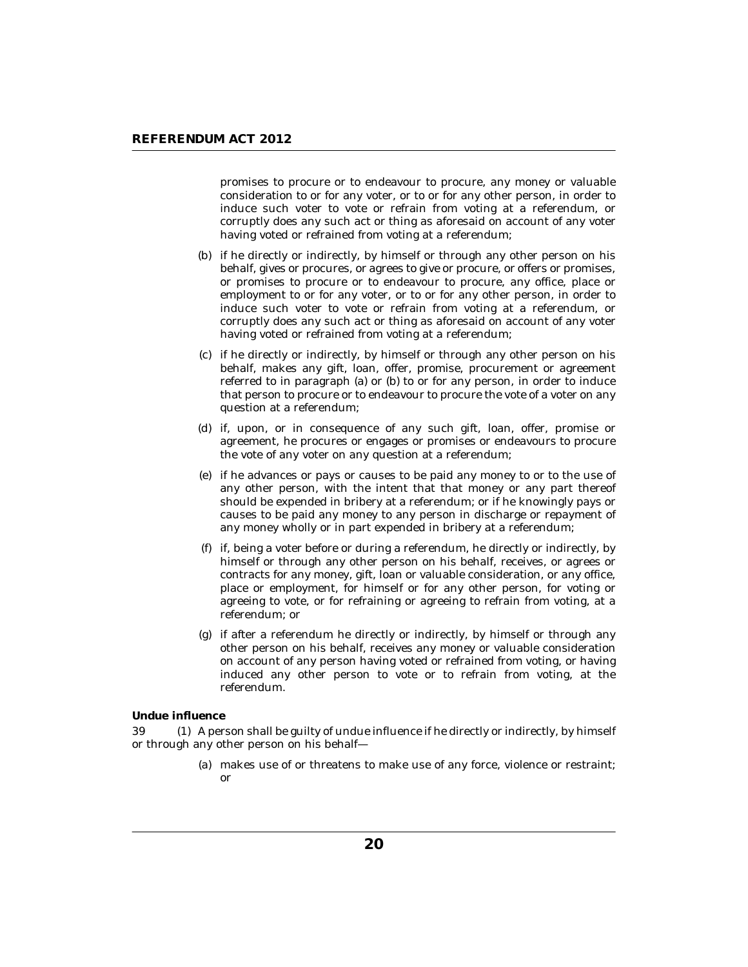<span id="page-19-0"></span>promises to procure or to endeavour to procure, any money or valuable consideration to or for any voter, or to or for any other person, in order to induce such voter to vote or refrain from voting at a referendum, or corruptly does any such act or thing as aforesaid on account of any voter having voted or refrained from voting at a referendum;

- (b) if he directly or indirectly, by himself or through any other person on his behalf, gives or procures, or agrees to give or procure, or offers or promises, or promises to procure or to endeavour to procure, any office, place or employment to or for any voter, or to or for any other person, in order to induce such voter to vote or refrain from voting at a referendum, or corruptly does any such act or thing as aforesaid on account of any voter having voted or refrained from voting at a referendum;
- if he directly or indirectly, by himself or through any other person on his (c) behalf, makes any gift, loan, offer, promise, procurement or agreement referred to in paragraph (a) or (b) to or for any person, in order to induce that person to procure or to endeavour to procure the vote of a voter on any question at a referendum;
- if, upon, or in consequence of any such gift, loan, offer, promise or (d) agreement, he procures or engages or promises or endeavours to procure the vote of any voter on any question at a referendum;
- if he advances or pays or causes to be paid any money to or to the use of (e) any other person, with the intent that that money or any part thereof should be expended in bribery at a referendum; or if he knowingly pays or causes to be paid any money to any person in discharge or repayment of any money wholly or in part expended in bribery at a referendum;
- if, being a voter before or during a referendum, he directly or indirectly, by (f) himself or through any other person on his behalf, receives, or agrees or contracts for any money, gift, loan or valuable consideration, or any office, place or employment, for himself or for any other person, for voting or agreeing to vote, or for refraining or agreeing to refrain from voting, at a referendum; or
- if after a referendum he directly or indirectly, by himself or through any (g) other person on his behalf, receives any money or valuable consideration on account of any person having voted or refrained from voting, or having induced any other person to vote or to refrain from voting, at the referendum.

**Undue influence**

A person shall be guilty of undue influence if he directly or indirectly, by himself 39 (1) or through any other person on his behalf—

> makes use of or threatens to make use of any force, violence or restraint; (a) or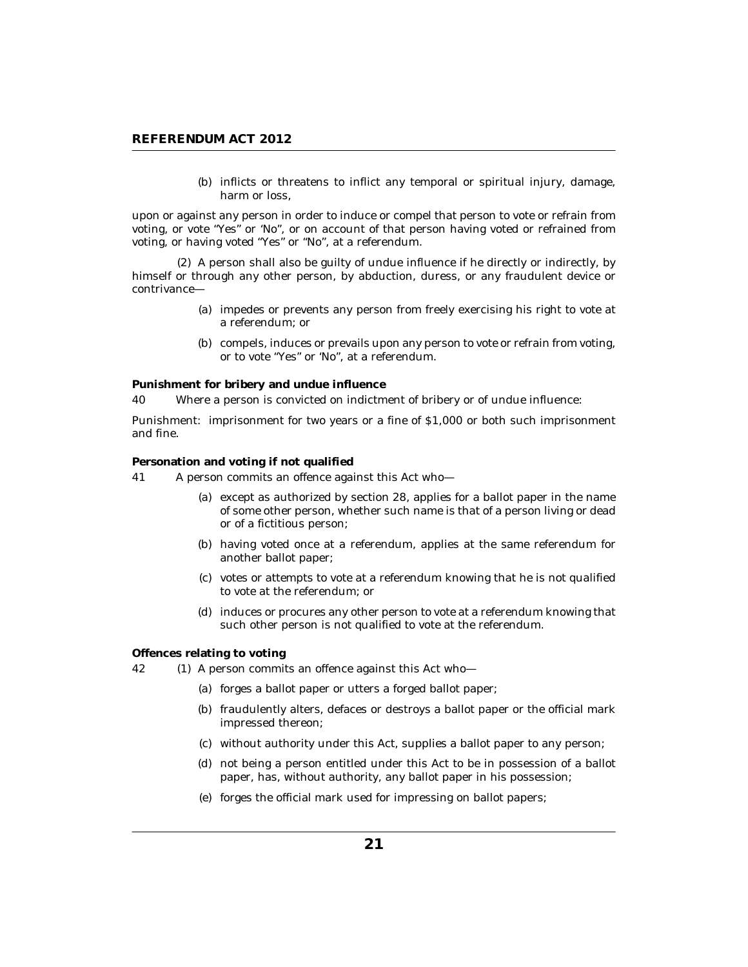(b) inflicts or threatens to inflict any temporal or spiritual injury, damage, harm or loss,

<span id="page-20-0"></span>upon or against any person in order to induce or compel that person to vote or refrain from voting, or vote "Yes" or 'No", or on account of that person having voted or refrained from voting, or having voted "Yes" or "No", at a referendum.

A person shall also be guilty of undue influence if he directly or indirectly, by (2) himself or through any other person, by abduction, duress, or any fraudulent device or contrivance—

- (a) impedes or prevents any person from freely exercising his right to vote at a referendum; or
- (b) compels, induces or prevails upon any person to vote or refrain from voting, or to vote "Yes" or 'No", at a referendum.

**Punishment for bribery and undue influence**

Where a person is convicted on indictment of bribery or of undue influence: 40

Punishment: imprisonment for two years or a fine of \$1,000 or both such imprisonment and fine.

**Personation and voting if not qualified**

- A person commits an offence against this Act who— 41
	- (a) except as authorized by section 28, applies for a ballot paper in the name of some other person, whether such name is that of a person living or dead or of a fictitious person;
	- (b) having voted once at a referendum, applies at the same referendum for another ballot paper;
	- (c) votes or attempts to vote at a referendum knowing that he is not qualified to vote at the referendum; or
	- (d) induces or procures any other person to vote at a referendum knowing that such other person is not qualified to vote at the referendum.

**Offences relating to voting**

- 42 (1) A person commits an offence against this Act who-
	- (a) forges a ballot paper or utters a forged ballot paper;
	- (b) fraudulently alters, defaces or destroys a ballot paper or the official mark impressed thereon;
	- (c) without authority under this Act, supplies a ballot paper to any person;
	- not being a person entitled under this Act to be in possession of a ballot (d) paper, has, without authority, any ballot paper in his possession;
	- (e) forges the official mark used for impressing on ballot papers;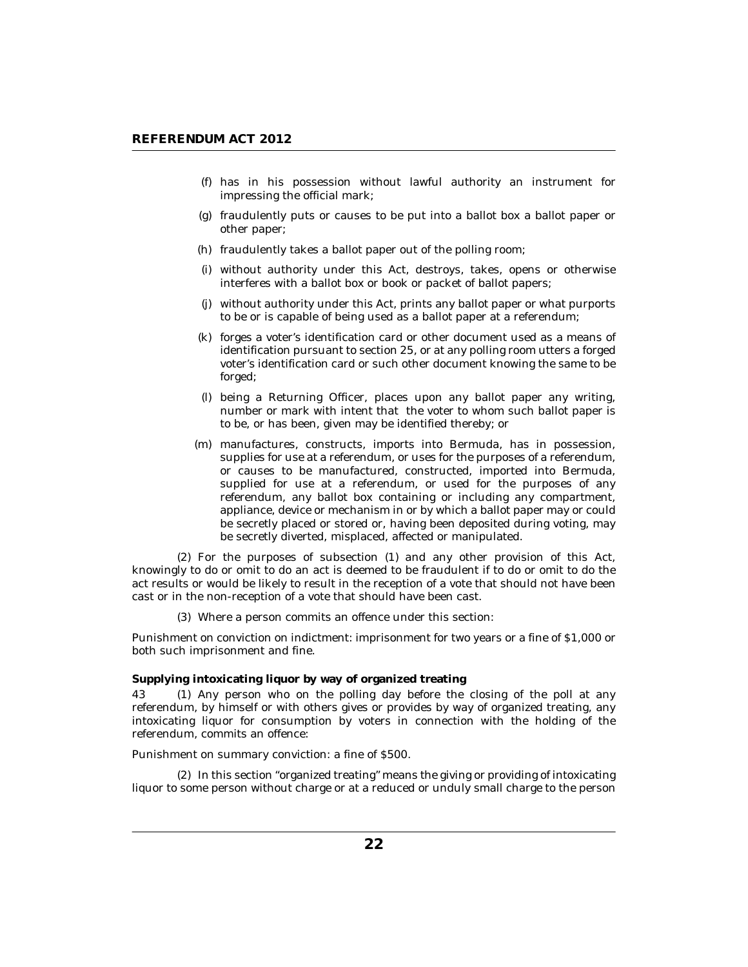- <span id="page-21-0"></span>has in his possession without lawful authority an instrument for (f) impressing the official mark;
- fraudulently puts or causes to be put into a ballot box a ballot paper or (g) other paper;
- (h) fraudulently takes a ballot paper out of the polling room;
- without authority under this Act, destroys, takes, opens or otherwise (i) interferes with a ballot box or book or packet of ballot papers;
- without authority under this Act, prints any ballot paper or what purports (j) to be or is capable of being used as a ballot paper at a referendum;
- (k) forges a voter's identification card or other document used as a means of identification pursuant to section 25, or at any polling room utters a forged voter's identification card or such other document knowing the same to be forged;
- being a Returning Officer, places upon any ballot paper any writing, (l) number or mark with intent that the voter to whom such ballot paper is to be, or has been, given may be identified thereby; or
- manufactures, constructs, imports into Bermuda, has in possession, (m) supplies for use at a referendum, or uses for the purposes of a referendum, or causes to be manufactured, constructed, imported into Bermuda, supplied for use at a referendum, or used for the purposes of any referendum, any ballot box containing or including any compartment, appliance, device or mechanism in or by which a ballot paper may or could be secretly placed or stored or, having been deposited during voting, may be secretly diverted, misplaced, affected or manipulated.

 $(2)$  For the purposes of subsection  $(1)$  and any other provision of this Act, knowingly to do or omit to do an act is deemed to be fraudulent if to do or omit to do the act results or would be likely to result in the reception of a vote that should not have been cast or in the non-reception of a vote that should have been cast.

Where a person commits an offence under this section: (3)

Punishment on conviction on indictment: imprisonment for two years or a fine of \$1,000 or both such imprisonment and fine.

**Supplying intoxicating liquor by way of organized treating**

43 (1) Any person who on the polling day before the closing of the poll at any referendum, by himself or with others gives or provides by way of organized treating, any intoxicating liquor for consumption by voters in connection with the holding of the referendum, commits an offence:

Punishment on summary conviction: a fine of \$500.

(2) In this section "organized treating" means the giving or providing of intoxicating liquor to some person without charge or at a reduced or unduly small charge to the person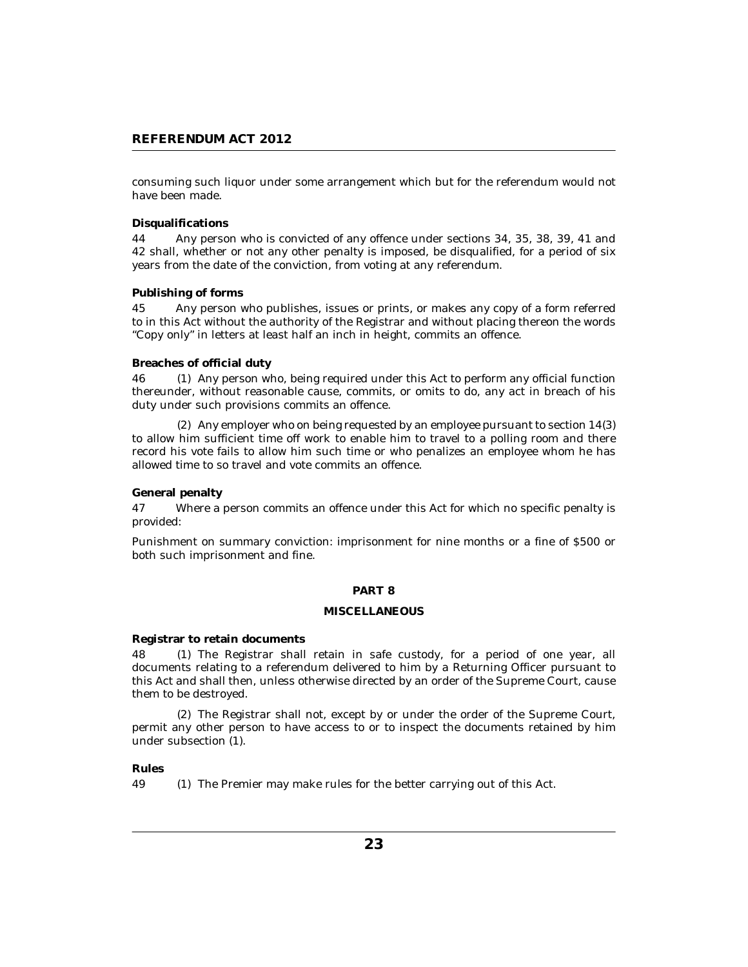<span id="page-22-0"></span>consuming such liquor under some arrangement which but for the referendum would not have been made.

### **Disqualifications**

Any person who is convicted of any offence under sections 34, 35, 38, 39, 41 and 42 shall, whether or not any other penalty is imposed, be disqualified, for a period of six years from the date of the conviction, from voting at any referendum. 44

### **Publishing of forms**

Any person who publishes, issues or prints, or makes any copy of a form referred to in this Act without the authority of the Registrar and without placing thereon the words "Copy only" in letters at least half an inch in height, commits an offence. 45

### **Breaches of official duty**

46 (1) Any person who, being required under this Act to perform any official function thereunder, without reasonable cause, commits, or omits to do, any act in breach of his duty under such provisions commits an offence.

Any employer who on being requested by an employee pursuant to section 14(3) (2) to allow him sufficient time off work to enable him to travel to a polling room and there record his vote fails to allow him such time or who penalizes an employee whom he has allowed time to so travel and vote commits an offence.

### **General penalty**

Where a person commits an offence under this Act for which no specific penalty is provided: 47

Punishment on summary conviction: imprisonment for nine months or a fine of \$500 or both such imprisonment and fine.

### **PART 8**

### **MISCELLANEOUS**

**Registrar to retain documents**

The Registrar shall retain in safe custody, for a period of one year, all documents relating to a referendum delivered to him by a Returning Officer pursuant to this Act and shall then, unless otherwise directed by an order of the Supreme Court, cause them to be destroyed. 48

The Registrar shall not, except by or under the order of the Supreme Court, (2) permit any other person to have access to or to inspect the documents retained by him under subsection (1).

## **Rules**

49 (1) The Premier may make rules for the better carrying out of this Act.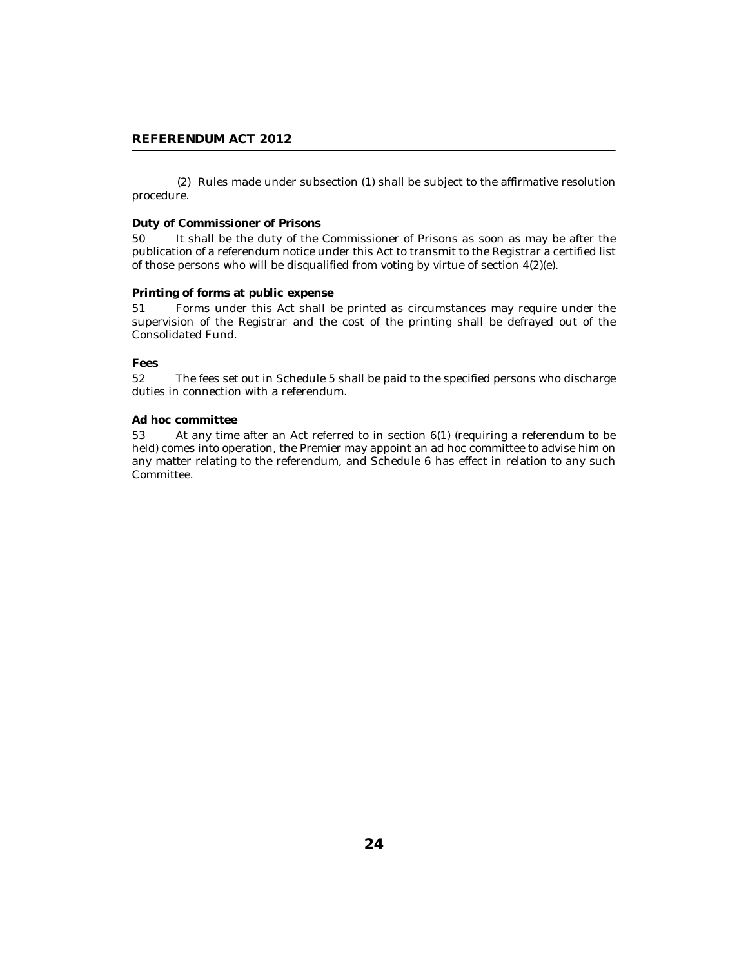<span id="page-23-0"></span>(2) Rules made under subsection (1) shall be subject to the affirmative resolution procedure.

## **Duty of Commissioner of Prisons**

It shall be the duty of the Commissioner of Prisons as soon as may be after the publication of a referendum notice under this Act to transmit to the Registrar a certified list of those persons who will be disqualified from voting by virtue of section 4(2)(e). 50

### **Printing of forms at public expense**

Forms under this Act shall be printed as circumstances may require under the supervision of the Registrar and the cost of the printing shall be defrayed out of the Consolidated Fund. 51

**Fees**

The fees set out in Schedule 5 shall be paid to the specified persons who discharge duties in connection with a referendum. 52

### **Ad hoc committee**

At any time after an Act referred to in section 6(1) (requiring a referendum to be held) comes into operation, the Premier may appoint an ad hoc committee to advise him on any matter relating to the referendum, and Schedule 6 has effect in relation to any such Committee. 53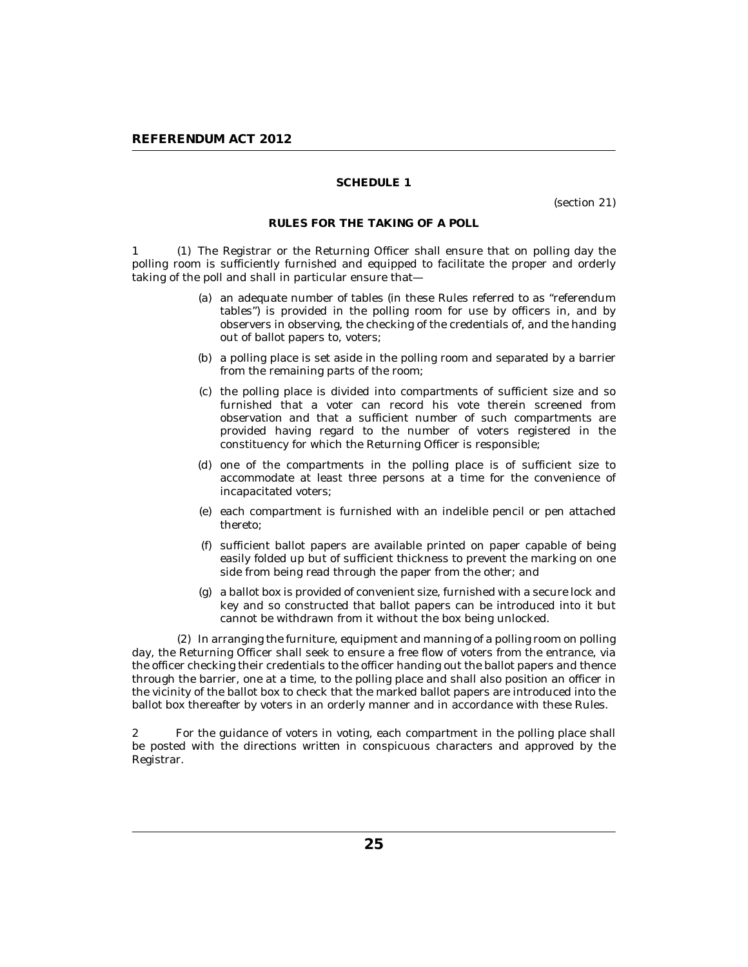(section 21)

### **RULES FOR THE TAKING OF A POLL**

<span id="page-24-0"></span>1 (1) The Registrar or the Returning Officer shall ensure that on polling day the polling room is sufficiently furnished and equipped to facilitate the proper and orderly taking of the poll and shall in particular ensure that—

- an adequate number of tables (in these Rules referred to as "referendum (a) tables") is provided in the polling room for use by officers in, and by observers in observing, the checking of the credentials of, and the handing out of ballot papers to, voters;
- (b) a polling place is set aside in the polling room and separated by a barrier from the remaining parts of the room;
- (c) the polling place is divided into compartments of sufficient size and so furnished that a voter can record his vote therein screened from observation and that a sufficient number of such compartments are provided having regard to the number of voters registered in the constituency for which the Returning Officer is responsible;
- (d) one of the compartments in the polling place is of sufficient size to accommodate at least three persons at a time for the convenience of incapacitated voters;
- (e) each compartment is furnished with an indelible pencil or pen attached thereto;
- sufficient ballot papers are available printed on paper capable of being (f) easily folded up but of sufficient thickness to prevent the marking on one side from being read through the paper from the other; and
- a ballot box is provided of convenient size, furnished with a secure lock and (g) key and so constructed that ballot papers can be introduced into it but cannot be withdrawn from it without the box being unlocked.

(2) In arranging the furniture, equipment and manning of a polling room on polling day, the Returning Officer shall seek to ensure a free flow of voters from the entrance, via the officer checking their credentials to the officer handing out the ballot papers and thence through the barrier, one at a time, to the polling place and shall also position an officer in the vicinity of the ballot box to check that the marked ballot papers are introduced into the ballot box thereafter by voters in an orderly manner and in accordance with these Rules.

For the guidance of voters in voting, each compartment in the polling place shall be posted with the directions written in conspicuous characters and approved by the Registrar. 2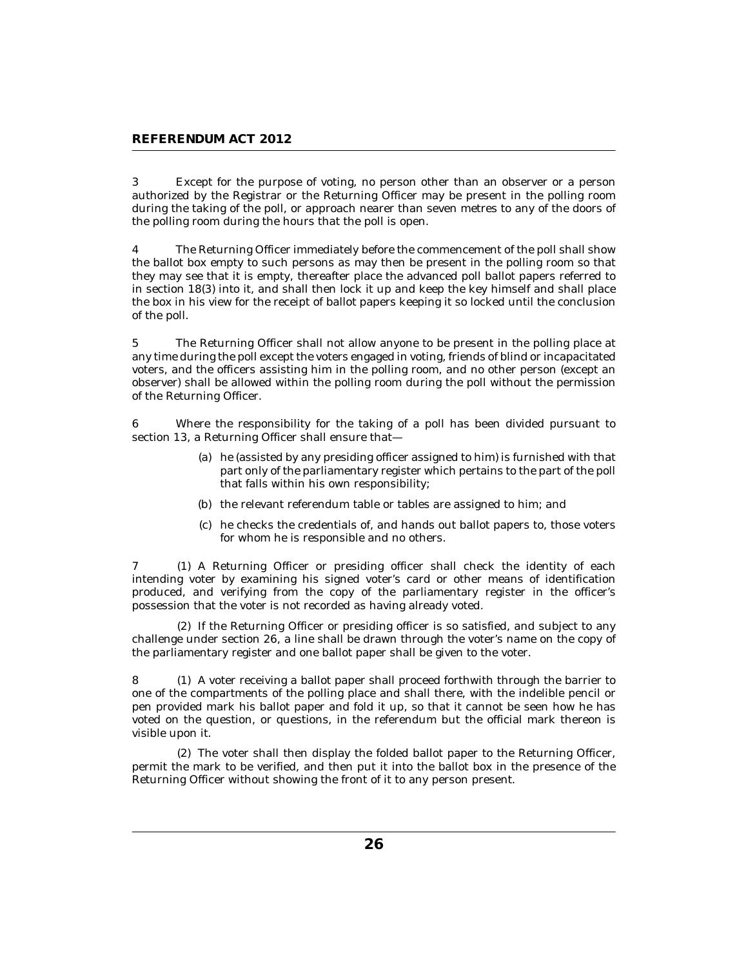Except for the purpose of voting, no person other than an observer or a person authorized by the Registrar or the Returning Officer may be present in the polling room during the taking of the poll, or approach nearer than seven metres to any of the doors of the polling room during the hours that the poll is open. 3

The Returning Officer immediately before the commencement of the poll shall show the ballot box empty to such persons as may then be present in the polling room so that they may see that it is empty, thereafter place the advanced poll ballot papers referred to in section 18(3) into it, and shall then lock it up and keep the key himself and shall place the box in his view for the receipt of ballot papers keeping it so locked until the conclusion of the poll. 4

The Returning Officer shall not allow anyone to be present in the polling place at any time during the poll except the voters engaged in voting, friends of blind or incapacitated voters, and the officers assisting him in the polling room, and no other person (except an observer) shall be allowed within the polling room during the poll without the permission of the Returning Officer. 5

Where the responsibility for the taking of a poll has been divided pursuant to section 13, a Returning Officer shall ensure that— 6

- (a) he (assisted by any presiding officer assigned to him) is furnished with that part only of the parliamentary register which pertains to the part of the poll that falls within his own responsibility;
- (b) the relevant referendum table or tables are assigned to him; and
- (c) he checks the credentials of, and hands out ballot papers to, those voters for whom he is responsible and no others.

7 (1) A Returning Officer or presiding officer shall check the identity of each intending voter by examining his signed voter's card or other means of identification produced, and verifying from the copy of the parliamentary register in the officer's possession that the voter is not recorded as having already voted.

(2) If the Returning Officer or presiding officer is so satisfied, and subject to any challenge under section 26, a line shall be drawn through the voter's name on the copy of the parliamentary register and one ballot paper shall be given to the voter.

A voter receiving a ballot paper shall proceed forthwith through the barrier to 8 (1) one of the compartments of the polling place and shall there, with the indelible pencil or pen provided mark his ballot paper and fold it up, so that it cannot be seen how he has voted on the question, or questions, in the referendum but the official mark thereon is visible upon it.

The voter shall then display the folded ballot paper to the Returning Officer, (2) permit the mark to be verified, and then put it into the ballot box in the presence of the Returning Officer without showing the front of it to any person present.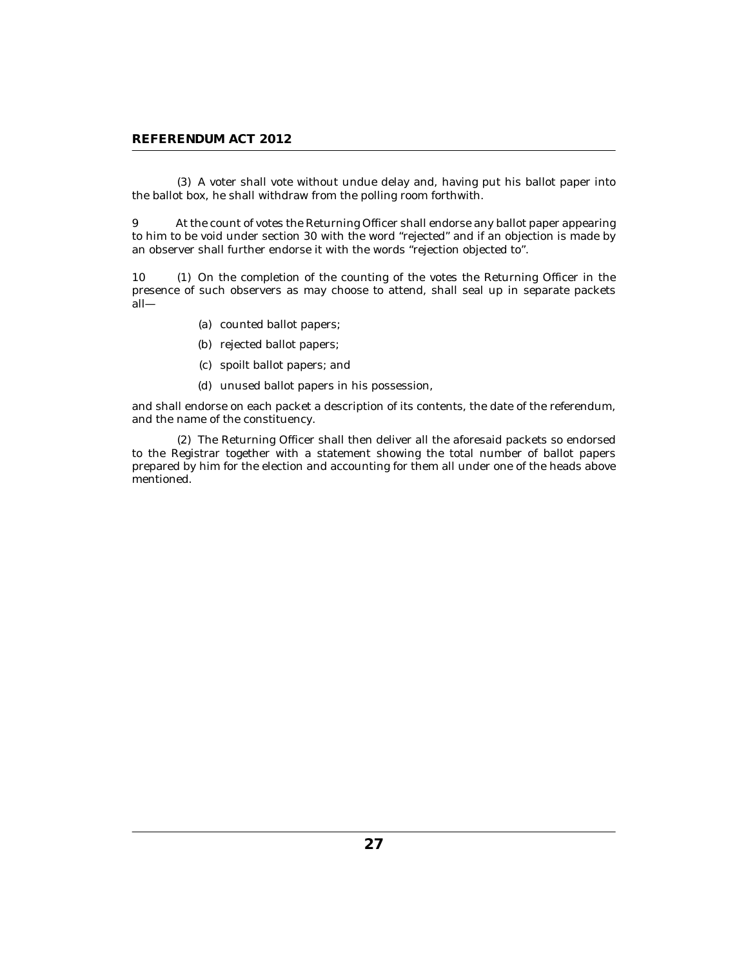A voter shall vote without undue delay and, having put his ballot paper into (3) the ballot box, he shall withdraw from the polling room forthwith.

At the count of votes the Returning Officer shall endorse any ballot paper appearing to him to be void under section 30 with the word "rejected" and if an objection is made by an observer shall further endorse it with the words "rejection objected to". 9

 $(1)$  On the completion of the counting of the votes the Returning Officer in the presence of such observers as may choose to attend, shall seal up in separate packets all— 10 (1)

- (a) counted ballot papers;
- (b) rejected ballot papers;
- spoilt ballot papers; and (c)
- (d) unused ballot papers in his possession,

and shall endorse on each packet a description of its contents, the date of the referendum, and the name of the constituency.

The Returning Officer shall then deliver all the aforesaid packets so endorsed (2) to the Registrar together with a statement showing the total number of ballot papers prepared by him for the election and accounting for them all under one of the heads above mentioned.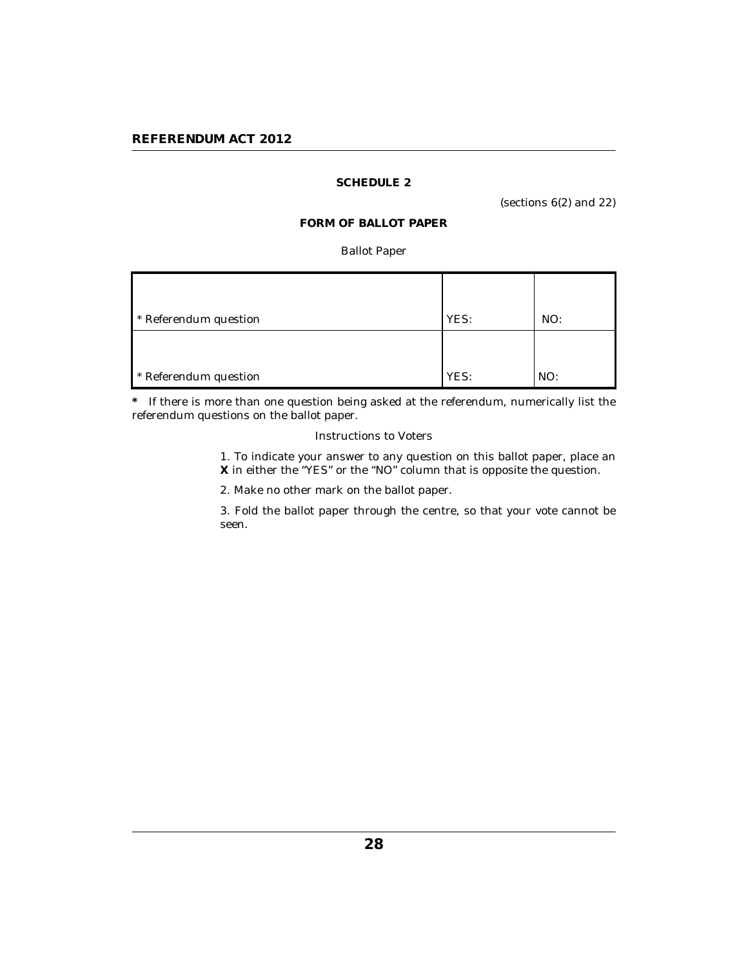# <span id="page-27-0"></span>**REFERENDUM ACT 2012**

# **SCHEDULE 2**

(sections 6(2) and 22)

# **FORM OF BALLOT PAPER**

## Ballot Paper

| * Referendum question | YES: | NO: |
|-----------------------|------|-----|
|                       |      |     |
| * Referendum question | YES: | NO: |

**\*** If there is more than one question being asked at the referendum, numerically list the referendum questions on the ballot paper.

## Instructions to Voters

1. To indicate your answer to any question on this ballot paper, place an **X** in either the "YES" or the "NO" column that is opposite the question.

2. Make no other mark on the ballot paper.

3. Fold the ballot paper through the centre, so that your vote cannot be seen.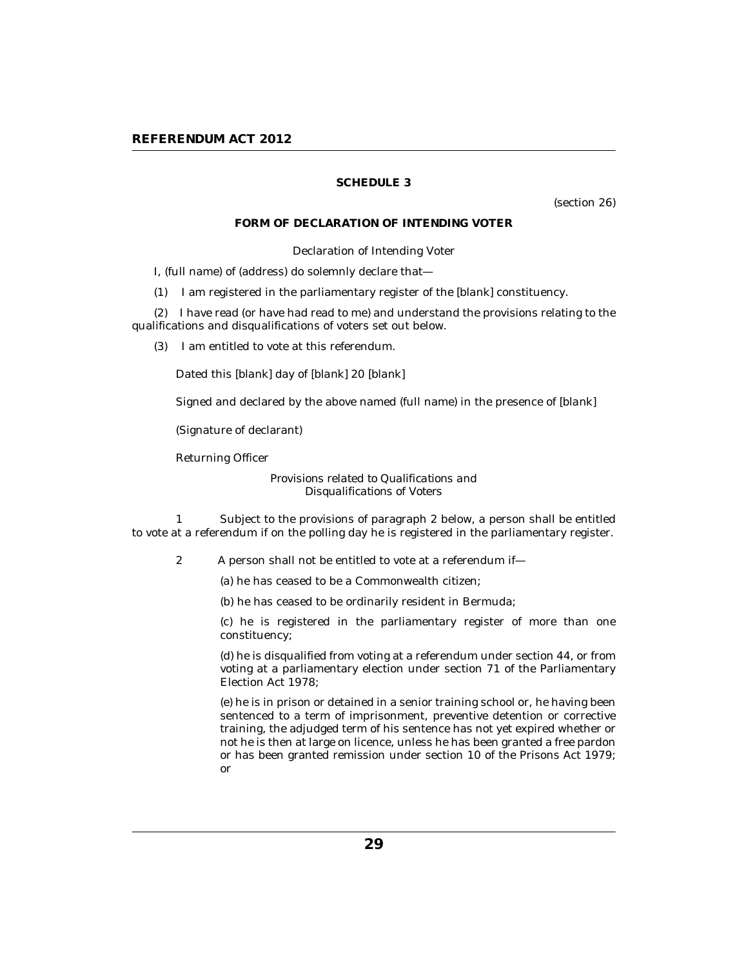(section 26)

### **FORM OF DECLARATION OF INTENDING VOTER**

Declaration of Intending Voter

<span id="page-28-0"></span>I, (full name) of (address) do solemnly declare that—

(1) I am registered in the parliamentary register of the [*blank*] constituency.

(2) I have read (or have had read to me) and understand the provisions relating to the qualifications and disqualifications of voters set out below.

(3) I am entitled to vote at this referendum.

Dated this [*blank*] day of [*blank*] 20 [*blank*]

Signed and declared by the above named (full name) in the presence of [*blank*]

(Signature of declarant)

Returning Officer

*Provisions related to Qualifications and Disqualifications of Voters*

1 Subject to the provisions of paragraph 2 below, a person shall be entitled to vote at a referendum if on the polling day he is registered in the parliamentary register.

2 A person shall not be entitled to vote at a referendum if—

(a) he has ceased to be a Commonwealth citizen;

(b) he has ceased to be ordinarily resident in Bermuda;

(c) he is registered in the parliamentary register of more than one constituency;

(d) he is disqualified from voting at a referendum under section 44, or from voting at a parliamentary election under section 71 of the Parliamentary Election Act 1978;

(e) he is in prison or detained in a senior training school or, he having been sentenced to a term of imprisonment, preventive detention or corrective training, the adjudged term of his sentence has not yet expired whether or not he is then at large on licence, unless he has been granted a free pardon or has been granted remission under section 10 of the Prisons Act 1979; or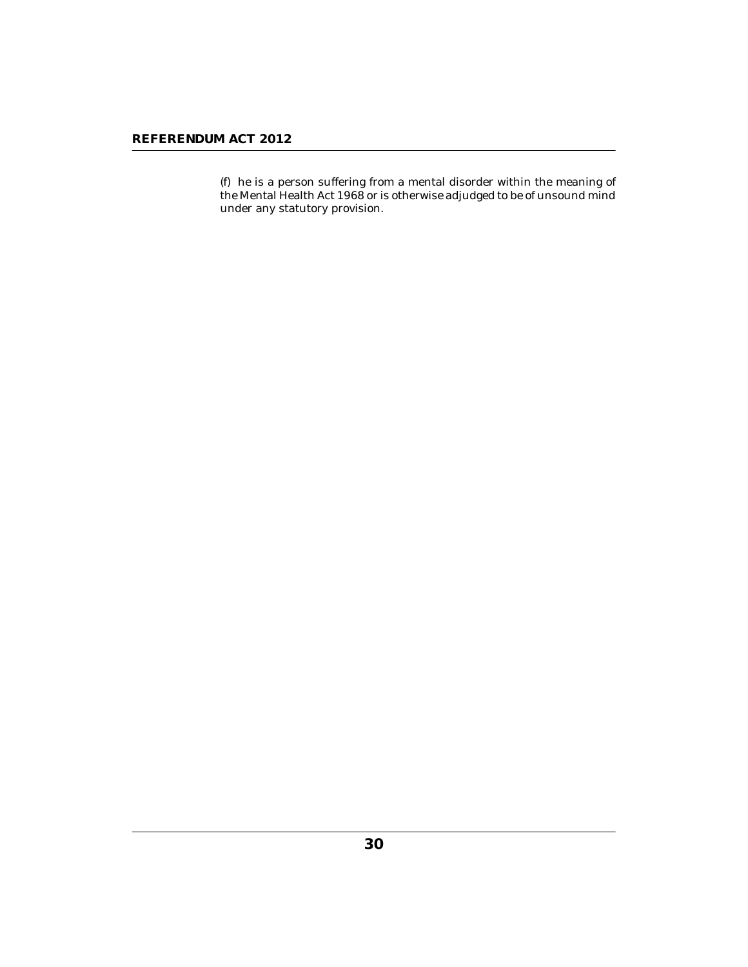(f) he is a person suffering from a mental disorder within the meaning of the Mental Health Act 1968 or is otherwise adjudged to be of unsound mind under any statutory provision.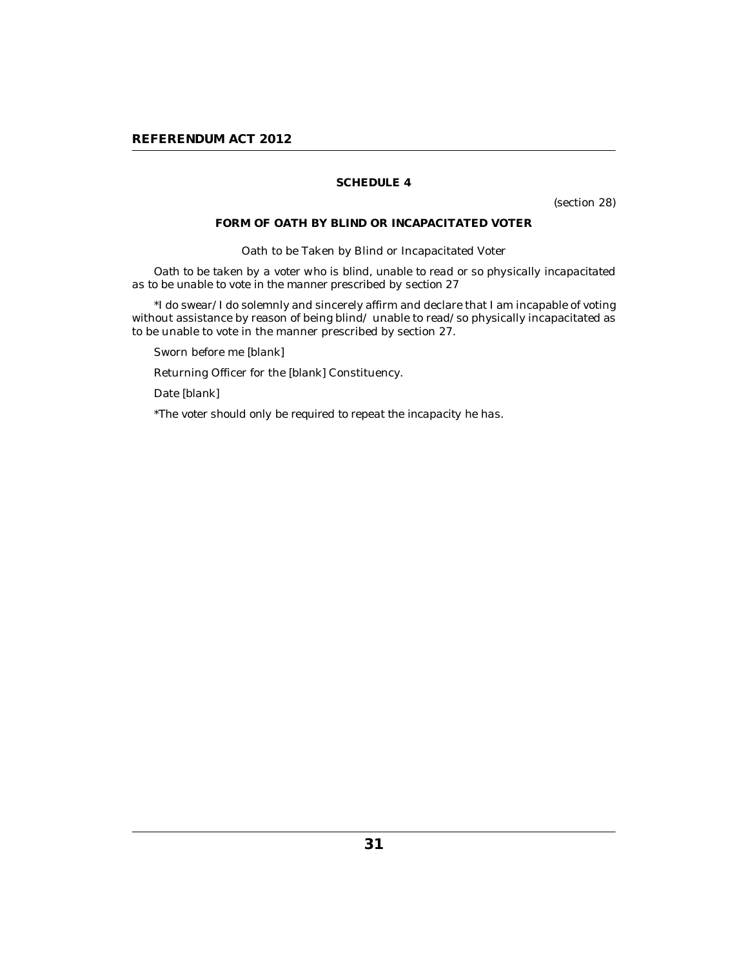(section 28)

### **FORM OF OATH BY BLIND OR INCAPACITATED VOTER**

Oath to be Taken by Blind or Incapacitated Voter

<span id="page-30-0"></span>*Oath to be taken by a voter who is blind, unable to read or so physically incapacitated as to be unable to vote in the manner prescribed by section 27*

\*I do swear/I do solemnly and sincerely affirm and declare that I am incapable of voting without assistance by reason of being blind/ unable to read/so physically incapacitated as to be unable to vote in the manner prescribed by section 27.

Sworn before me [*blank*]

Returning Officer for the [*blank*] Constituency.

Date [*blank*]

\**The voter should only be required to repeat the incapacity he has*.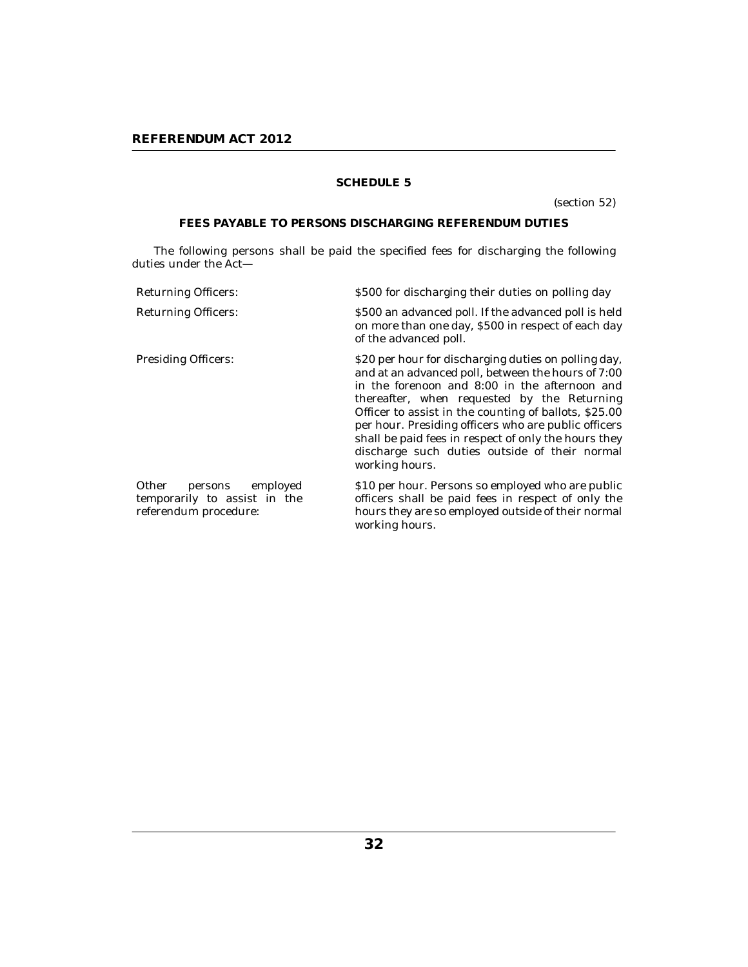(section 52)

# **FEES PAYABLE TO PERSONS DISCHARGING REFERENDUM DUTIES**

<span id="page-31-0"></span>The following persons shall be paid the specified fees for discharging the following duties under the Act—

| <b>Returning Officers:</b>                                                         | \$500 for discharging their duties on polling day                                                                                                                                                                                                                                                                                                                                                                                                      |
|------------------------------------------------------------------------------------|--------------------------------------------------------------------------------------------------------------------------------------------------------------------------------------------------------------------------------------------------------------------------------------------------------------------------------------------------------------------------------------------------------------------------------------------------------|
| <b>Returning Officers:</b>                                                         | \$500 an advanced poll. If the advanced poll is held<br>on more than one day, \$500 in respect of each day<br>of the advanced poll.                                                                                                                                                                                                                                                                                                                    |
| <b>Presiding Officers:</b>                                                         | \$20 per hour for discharging duties on polling day,<br>and at an advanced poll, between the hours of 7:00<br>in the forenoon and 8:00 in the afternoon and<br>thereafter, when requested by the Returning<br>Officer to assist in the counting of ballots, \$25.00<br>per hour. Presiding officers who are public officers<br>shall be paid fees in respect of only the hours they<br>discharge such duties outside of their normal<br>working hours. |
| Other<br>persons employed<br>temporarily to assist in the<br>referendum procedure: | \$10 per hour. Persons so employed who are public<br>officers shall be paid fees in respect of only the<br>hours they are so employed outside of their normal<br>working hours.                                                                                                                                                                                                                                                                        |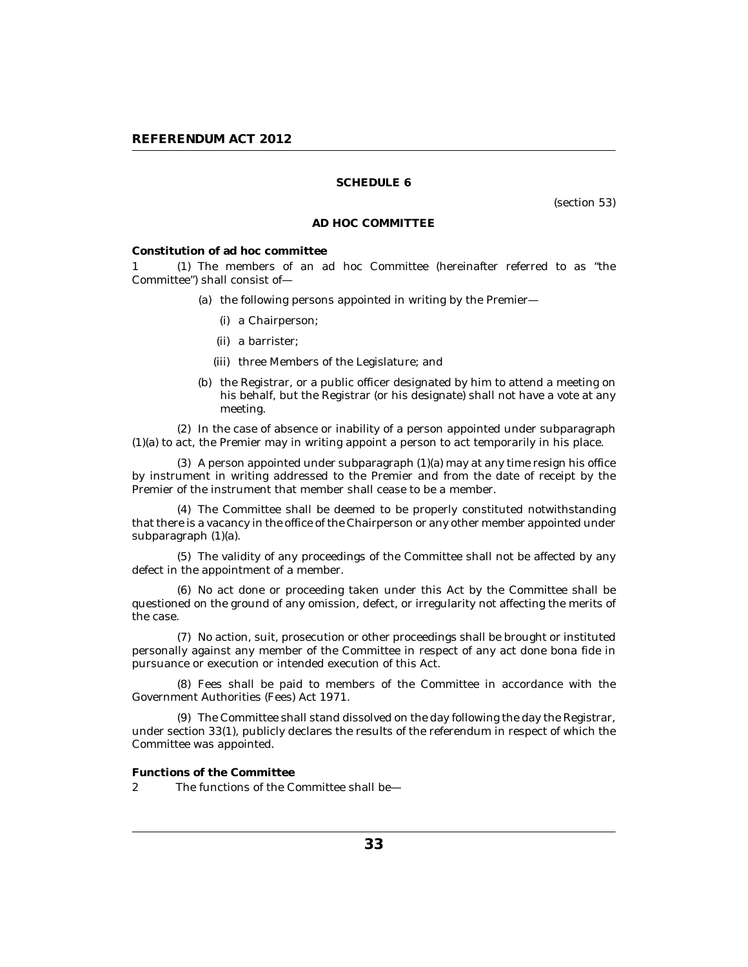(section 53)

### **AD HOC COMMITTEE**

<span id="page-32-0"></span>**Constitution of ad hoc committee**

1 (1) The members of an ad hoc Committee (hereinafter referred to as "the Committee") shall consist of—

- (a) the following persons appointed in writing by the Premier
	- a Chairperson; (i)
	- a barrister; (ii)
	- (iii) three Members of the Legislature; and
- (b) the Registrar, or a public officer designated by him to attend a meeting on his behalf, but the Registrar (or his designate) shall not have a vote at any meeting.

(2) In the case of absence or inability of a person appointed under subparagraph (1)(a) to act, the Premier may in writing appoint a person to act temporarily in his place.

 $(3)$  A person appointed under subparagraph  $(1)(a)$  may at any time resign his office by instrument in writing addressed to the Premier and from the date of receipt by the Premier of the instrument that member shall cease to be a member.

The Committee shall be deemed to be properly constituted notwithstanding (4) that there is a vacancy in the office of the Chairperson or any other member appointed under subparagraph (1)(a).

The validity of any proceedings of the Committee shall not be affected by any (5) defect in the appointment of a member.

(6) No act done or proceeding taken under this Act by the Committee shall be questioned on the ground of any omission, defect, or irregularity not affecting the merits of the case.

(7) No action, suit, prosecution or other proceedings shall be brought or instituted personally against any member of the Committee in respect of any act done bona fide in pursuance or execution or intended execution of this Act.

Fees shall be paid to members of the Committee in accordance with the (8) Government Authorities (Fees) Act 1971.

The Committee shall stand dissolved on the day following the day the Registrar, (9) under section 33(1), publicly declares the results of the referendum in respect of which the Committee was appointed.

**Functions of the Committee**

The functions of the Committee shall be— 2